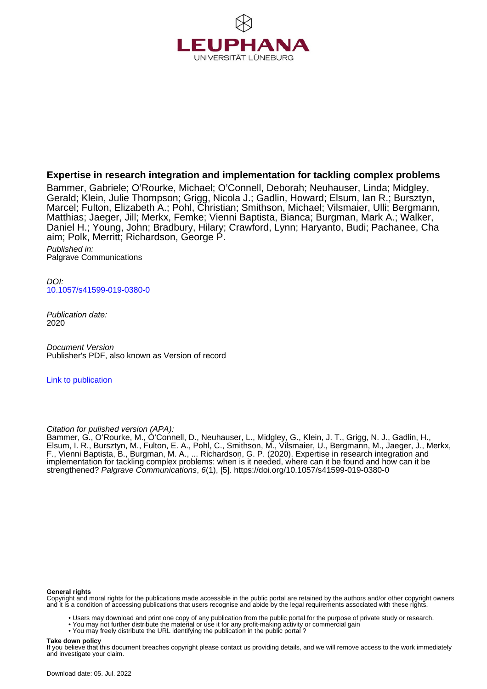

# **Expertise in research integration and implementation for tackling complex problems**

Bammer, Gabriele; O'Rourke, Michael; O'Connell, Deborah; Neuhauser, Linda; Midgley, Gerald; Klein, Julie Thompson; Grigg, Nicola J.; Gadlin, Howard; Elsum, Ian R.; Bursztyn, Marcel; Fulton, Elizabeth A.; Pohl, Christian; Smithson, Michael; Vilsmaier, Ulli; Bergmann, Matthias; Jaeger, Jill; Merkx, Femke; Vienni Baptista, Bianca; Burgman, Mark A.; Walker, Daniel H.; Young, John; Bradbury, Hilary; Crawford, Lynn; Haryanto, Budi; Pachanee, Cha aim; Polk, Merritt; Richardson, George P.

Published in: Palgrave Communications

DOI: [10.1057/s41599-019-0380-0](https://doi.org/10.1057/s41599-019-0380-0)

Publication date: 2020

Document Version Publisher's PDF, also known as Version of record

[Link to publication](http://fox.leuphana.de/portal/en/publications/expertise-in-research-integration-and-implementation-for-tackling-complex-problems(5b16df83-2df6-42fb-a3d5-173748523f04).html)

Citation for pulished version (APA):

Bammer, G., O'Rourke, M., O'Connell, D., Neuhauser, L., Midgley, G., Klein, J. T., Grigg, N. J., Gadlin, H., Elsum, I. R., Bursztyn, M., Fulton, E. A., Pohl, C., Smithson, M[., Vilsmaier, U.,](http://fox.leuphana.de/portal/de/persons/ulli-vilsmaier(d46acdb4-4cab-4494-a3cf-5bb43d4c928f).html) Bergmann, M., Jaeger, J., Merkx, F.[, Vienni Baptista, B.](http://fox.leuphana.de/portal/de/persons/bianca-vienni-baptista(1ee42fbf-d469-4d50-9610-d8a32729ca35).html), Burgman, M. A., ... Richardson, G. P. (2020). [Expertise in research integration and](http://fox.leuphana.de/portal/de/publications/expertise-in-research-integration-and-implementation-for-tackling-complex-problems(5b16df83-2df6-42fb-a3d5-173748523f04).html) [implementation for tackling complex problems: when is it needed, where can it be found and how can it be](http://fox.leuphana.de/portal/de/publications/expertise-in-research-integration-and-implementation-for-tackling-complex-problems(5b16df83-2df6-42fb-a3d5-173748523f04).html) [strengthened?](http://fox.leuphana.de/portal/de/publications/expertise-in-research-integration-and-implementation-for-tackling-complex-problems(5b16df83-2df6-42fb-a3d5-173748523f04).html) [Palgrave Communications](http://fox.leuphana.de/portal/de/journals/humanities--social-sciences-communications(268b74f5-6eca-4289-9d58-19382af7659d)/publications.html), 6(1), [5]. <https://doi.org/10.1057/s41599-019-0380-0>

#### **General rights**

Copyright and moral rights for the publications made accessible in the public portal are retained by the authors and/or other copyright owners and it is a condition of accessing publications that users recognise and abide by the legal requirements associated with these rights.

- Users may download and print one copy of any publication from the public portal for the purpose of private study or research.
- You may not further distribute the material or use it for any profit-making activity or commercial gain
- You may freely distribute the URL identifying the publication in the public portal ?

#### **Take down policy**

If you believe that this document breaches copyright please contact us providing details, and we will remove access to the work immediately and investigate your claim.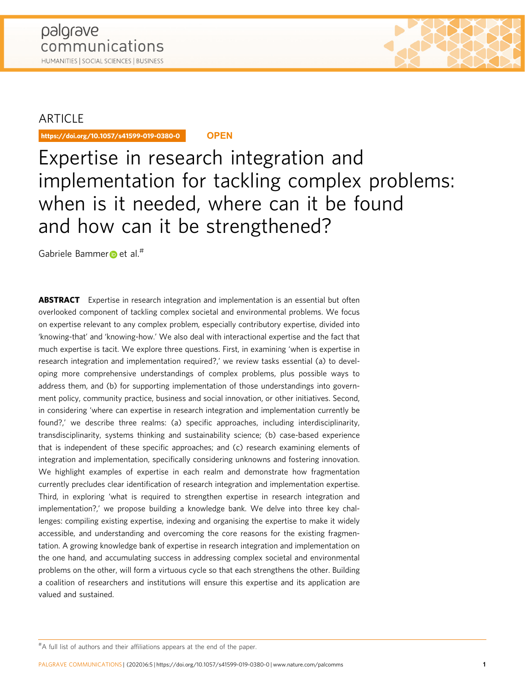

https://doi.org/10.1057/s41599-019-0380-0 **OPEN**

# Expertise in research integration and implementation for tackling complex problems: when is it needed, where can it be found and how can it be strengthened?

Gabriele Bamm[er](http://orcid.org/0000-0001-9098-0951) et al.<sup>#</sup>

**ABSTRACT** Expertise in research integration and implementation is an essential but often overlooked component of tackling complex societal and environmental problems. We focus on expertise relevant to any complex problem, especially contributory expertise, divided into 'knowing-that' and 'knowing-how.' We also deal with interactional expertise and the fact that much expertise is tacit. We explore three questions. First, in examining 'when is expertise in research integration and implementation required?,' we review tasks essential (a) to developing more comprehensive understandings of complex problems, plus possible ways to address them, and (b) for supporting implementation of those understandings into government policy, community practice, business and social innovation, or other initiatives. Second, in considering 'where can expertise in research integration and implementation currently be found?,' we describe three realms: (a) specific approaches, including interdisciplinarity, transdisciplinarity, systems thinking and sustainability science; (b) case-based experience that is independent of these specific approaches; and (c) research examining elements of integration and implementation, specifically considering unknowns and fostering innovation. We highlight examples of expertise in each realm and demonstrate how fragmentation currently precludes clear identification of research integration and implementation expertise. Third, in exploring 'what is required to strengthen expertise in research integration and implementation?,' we propose building a knowledge bank. We delve into three key challenges: compiling existing expertise, indexing and organising the expertise to make it widely accessible, and understanding and overcoming the core reasons for the existing fragmentation. A growing knowledge bank of expertise in research integration and implementation on the one hand, and accumulating success in addressing complex societal and environmental problems on the other, will form a virtuous cycle so that each strengthens the other. Building a coalition of researchers and institutions will ensure this expertise and its application are valued and sustained.

<sup>#</sup> A full list of authors and their affiliations appears at the end of the paper.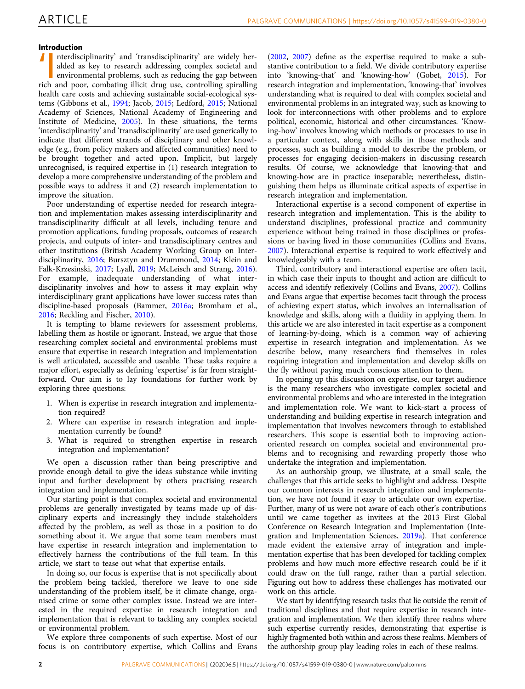## Introduction

Interdisciplinarity' and 'transdisciplinarity' are widely her-<br>alded as key to research addressing complex societal and<br>environmental problems, such as reducing the gap between<br>rich and poor, combating illicit drug use, co nterdisciplinarity' and 'transdisciplinarity' are widely heralded as key to research addressing complex societal and environmental problems, such as reducing the gap between health care costs and achieving sustainable social-ecological systems (Gibbons et al., [1994](#page-13-0); Jacob, [2015;](#page-14-0) Ledford, [2015](#page-14-0); National Academy of Sciences, National Academy of Engineering and Institute of Medicine, [2005](#page-14-0)). In these situations, the terms 'interdisciplinarity' and 'transdisciplinarity' are used generically to indicate that different strands of disciplinary and other knowledge (e.g., from policy makers and affected communities) need to be brought together and acted upon. Implicit, but largely unrecognised, is required expertise in (1) research integration to develop a more comprehensive understanding of the problem and possible ways to address it and (2) research implementation to improve the situation.

Poor understanding of expertise needed for research integration and implementation makes assessing interdisciplinarity and transdisciplinarity difficult at all levels, including tenure and promotion applications, funding proposals, outcomes of research projects, and outputs of inter- and transdisciplinary centres and other institutions (British Academy Working Group on Interdisciplinarity, [2016;](#page-13-0) Bursztyn and Drummond, [2014;](#page-13-0) Klein and Falk-Krzesinski, [2017](#page-14-0); Lyall, [2019](#page-14-0); McLeisch and Strang, [2016](#page-14-0)). For example, inadequate understanding of what interdisciplinarity involves and how to assess it may explain why interdisciplinary grant applications have lower success rates than discipline-based proposals (Bammer, [2016a](#page-13-0); Bromham et al., [2016;](#page-13-0) Reckling and Fischer, [2010\)](#page-14-0).

It is tempting to blame reviewers for assessment problems, labelling them as hostile or ignorant. Instead, we argue that those researching complex societal and environmental problems must ensure that expertise in research integration and implementation is well articulated, accessible and useable. These tasks require a major effort, especially as defining 'expertise' is far from straightforward. Our aim is to lay foundations for further work by exploring three questions:

- 1. When is expertise in research integration and implementation required?
- 2. Where can expertise in research integration and implementation currently be found?
- 3. What is required to strengthen expertise in research integration and implementation?

We open a discussion rather than being prescriptive and provide enough detail to give the ideas substance while inviting input and further development by others practising research integration and implementation.

Our starting point is that complex societal and environmental problems are generally investigated by teams made up of disciplinary experts and increasingly they include stakeholders affected by the problem, as well as those in a position to do something about it. We argue that some team members must have expertise in research integration and implementation to effectively harness the contributions of the full team. In this article, we start to tease out what that expertise entails.

In doing so, our focus is expertise that is not specifically about the problem being tackled, therefore we leave to one side understanding of the problem itself, be it climate change, organised crime or some other complex issue. Instead we are interested in the required expertise in research integration and implementation that is relevant to tackling any complex societal or environmental problem.

We explore three components of such expertise. Most of our focus is on contributory expertise, which Collins and Evans

([2002](#page-13-0), [2007\)](#page-13-0) define as the expertise required to make a substantive contribution to a field. We divide contributory expertise into 'knowing-that' and 'knowing-how' (Gobet, [2015](#page-13-0)). For research integration and implementation, 'knowing-that' involves understanding what is required to deal with complex societal and environmental problems in an integrated way, such as knowing to look for interconnections with other problems and to explore political, economic, historical and other circumstances. 'Knowing-how' involves knowing which methods or processes to use in a particular context, along with skills in those methods and processes, such as building a model to describe the problem, or processes for engaging decision-makers in discussing research results. Of course, we acknowledge that knowing-that and knowing-how are in practice inseparable; nevertheless, distinguishing them helps us illuminate critical aspects of expertise in research integration and implementation.

Interactional expertise is a second component of expertise in research integration and implementation. This is the ability to understand disciplines, professional practice and community experience without being trained in those disciplines or professions or having lived in those communities (Collins and Evans, [2007\)](#page-13-0). Interactional expertise is required to work effectively and knowledgeably with a team.

Third, contributory and interactional expertise are often tacit, in which case their inputs to thought and action are difficult to access and identify reflexively (Collins and Evans, [2007\)](#page-13-0). Collins and Evans argue that expertise becomes tacit through the process of achieving expert status, which involves an internalisation of knowledge and skills, along with a fluidity in applying them. In this article we are also interested in tacit expertise as a component of learning-by-doing, which is a common way of achieving expertise in research integration and implementation. As we describe below, many researchers find themselves in roles requiring integration and implementation and develop skills on the fly without paying much conscious attention to them.

In opening up this discussion on expertise, our target audience is the many researchers who investigate complex societal and environmental problems and who are interested in the integration and implementation role. We want to kick-start a process of understanding and building expertise in research integration and implementation that involves newcomers through to established researchers. This scope is essential both to improving actionoriented research on complex societal and environmental problems and to recognising and rewarding properly those who undertake the integration and implementation.

As an authorship group, we illustrate, at a small scale, the challenges that this article seeks to highlight and address. Despite our common interests in research integration and implementation, we have not found it easy to articulate our own expertise. Further, many of us were not aware of each other's contributions until we came together as invitees at the 2013 First Global Conference on Research Integration and Implementation (Integration and Implementation Sciences, [2019a\)](#page-14-0). That conference made evident the extensive array of integration and implementation expertise that has been developed for tackling complex problems and how much more effective research could be if it could draw on the full range, rather than a partial selection. Figuring out how to address these challenges has motivated our work on this article.

We start by identifying research tasks that lie outside the remit of traditional disciplines and that require expertise in research integration and implementation. We then identify three realms where such expertise currently resides, demonstrating that expertise is highly fragmented both within and across these realms. Members of the authorship group play leading roles in each of these realms.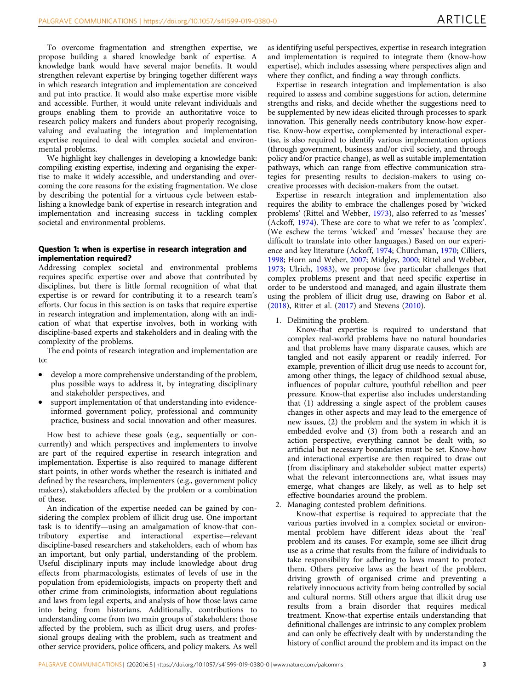To overcome fragmentation and strengthen expertise, we propose building a shared knowledge bank of expertise. A knowledge bank would have several major benefits. It would strengthen relevant expertise by bringing together different ways in which research integration and implementation are conceived and put into practice. It would also make expertise more visible and accessible. Further, it would unite relevant individuals and groups enabling them to provide an authoritative voice to research policy makers and funders about properly recognising, valuing and evaluating the integration and implementation expertise required to deal with complex societal and environmental problems.

We highlight key challenges in developing a knowledge bank: compiling existing expertise, indexing and organising the expertise to make it widely accessible, and understanding and overcoming the core reasons for the existing fragmentation. We close by describing the potential for a virtuous cycle between establishing a knowledge bank of expertise in research integration and implementation and increasing success in tackling complex societal and environmental problems.

# Question 1: when is expertise in research integration and implementation required?

Addressing complex societal and environmental problems requires specific expertise over and above that contributed by disciplines, but there is little formal recognition of what that expertise is or reward for contributing it to a research team's efforts. Our focus in this section is on tasks that require expertise in research integration and implementation, along with an indication of what that expertise involves, both in working with discipline-based experts and stakeholders and in dealing with the complexity of the problems.

The end points of research integration and implementation are to:

- develop a more comprehensive understanding of the problem, plus possible ways to address it, by integrating disciplinary and stakeholder perspectives, and
- support implementation of that understanding into evidenceinformed government policy, professional and community practice, business and social innovation and other measures.

How best to achieve these goals (e.g., sequentially or concurrently) and which perspectives and implementers to involve are part of the required expertise in research integration and implementation. Expertise is also required to manage different start points, in other words whether the research is initiated and defined by the researchers, implementers (e.g., government policy makers), stakeholders affected by the problem or a combination of these.

An indication of the expertise needed can be gained by considering the complex problem of illicit drug use. One important task is to identify—using an amalgamation of know-that contributory expertise and interactional expertise—relevant discipline-based researchers and stakeholders, each of whom has an important, but only partial, understanding of the problem. Useful disciplinary inputs may include knowledge about drug effects from pharmacologists, estimates of levels of use in the population from epidemiologists, impacts on property theft and other crime from criminologists, information about regulations and laws from legal experts, and analysis of how those laws came into being from historians. Additionally, contributions to understanding come from two main groups of stakeholders: those affected by the problem, such as illicit drug users, and professional groups dealing with the problem, such as treatment and other service providers, police officers, and policy makers. As well as identifying useful perspectives, expertise in research integration and implementation is required to integrate them (know-how expertise), which includes assessing where perspectives align and where they conflict, and finding a way through conflicts.

Expertise in research integration and implementation is also required to assess and combine suggestions for action, determine strengths and risks, and decide whether the suggestions need to be supplemented by new ideas elicited through processes to spark innovation. This generally needs contributory know-how expertise. Know-how expertise, complemented by interactional expertise, is also required to identify various implementation options (through government, business and/or civil society, and through policy and/or practice change), as well as suitable implementation pathways, which can range from effective communication strategies for presenting results to decision-makers to using cocreative processes with decision-makers from the outset.

Expertise in research integration and implementation also requires the ability to embrace the challenges posed by 'wicked problems' (Rittel and Webber, [1973](#page-15-0)), also referred to as 'messes' (Ackoff, [1974\)](#page-12-0). These are core to what we refer to as 'complex'. (We eschew the terms 'wicked' and 'messes' because they are difficult to translate into other languages.) Based on our experience and key literature (Ackoff, [1974;](#page-12-0) Churchman, [1970](#page-13-0); Cilliers, [1998;](#page-13-0) Horn and Weber, [2007;](#page-14-0) Midgley, [2000](#page-14-0); Rittel and Webber, [1973;](#page-15-0) Ulrich, [1983\)](#page-15-0), we propose five particular challenges that complex problems present and that need specific expertise in order to be understood and managed, and again illustrate them using the problem of illicit drug use, drawing on Babor et al. ([2018](#page-13-0)), Ritter et al. ([2017](#page-15-0)) and Stevens [\(2010](#page-15-0)).

1. Delimiting the problem.

Know-that expertise is required to understand that complex real-world problems have no natural boundaries and that problems have many disparate causes, which are tangled and not easily apparent or readily inferred. For example, prevention of illicit drug use needs to account for, among other things, the legacy of childhood sexual abuse, influences of popular culture, youthful rebellion and peer pressure. Know-that expertise also includes understanding that (1) addressing a single aspect of the problem causes changes in other aspects and may lead to the emergence of new issues, (2) the problem and the system in which it is embedded evolve and (3) from both a research and an action perspective, everything cannot be dealt with, so artificial but necessary boundaries must be set. Know-how and interactional expertise are then required to draw out (from disciplinary and stakeholder subject matter experts) what the relevant interconnections are, what issues may emerge, what changes are likely, as well as to help set effective boundaries around the problem.

2. Managing contested problem definitions.

Know-that expertise is required to appreciate that the various parties involved in a complex societal or environmental problem have different ideas about the 'real' problem and its causes. For example, some see illicit drug use as a crime that results from the failure of individuals to take responsibility for adhering to laws meant to protect them. Others perceive laws as the heart of the problem, driving growth of organised crime and preventing a relatively innocuous activity from being controlled by social and cultural norms. Still others argue that illicit drug use results from a brain disorder that requires medical treatment. Know-that expertise entails understanding that definitional challenges are intrinsic to any complex problem and can only be effectively dealt with by understanding the history of conflict around the problem and its impact on the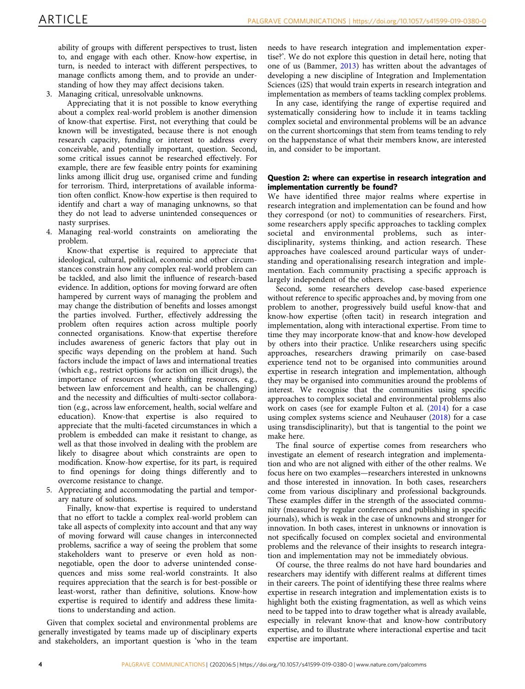ability of groups with different perspectives to trust, listen to, and engage with each other. Know-how expertise, in turn, is needed to interact with different perspectives, to manage conflicts among them, and to provide an understanding of how they may affect decisions taken.

3. Managing critical, unresolvable unknowns.

Appreciating that it is not possible to know everything about a complex real-world problem is another dimension of know-that expertise. First, not everything that could be known will be investigated, because there is not enough research capacity, funding or interest to address every conceivable, and potentially important, question. Second, some critical issues cannot be researched effectively. For example, there are few feasible entry points for examining links among illicit drug use, organised crime and funding for terrorism. Third, interpretations of available information often conflict. Know-how expertise is then required to identify and chart a way of managing unknowns, so that they do not lead to adverse unintended consequences or nasty surprises.

4. Managing real-world constraints on ameliorating the problem.

Know-that expertise is required to appreciate that ideological, cultural, political, economic and other circumstances constrain how any complex real-world problem can be tackled, and also limit the influence of research-based evidence. In addition, options for moving forward are often hampered by current ways of managing the problem and may change the distribution of benefits and losses amongst the parties involved. Further, effectively addressing the problem often requires action across multiple poorly connected organisations. Know-that expertise therefore includes awareness of generic factors that play out in specific ways depending on the problem at hand. Such factors include the impact of laws and international treaties (which e.g., restrict options for action on illicit drugs), the importance of resources (where shifting resources, e.g., between law enforcement and health, can be challenging) and the necessity and difficulties of multi-sector collaboration (e.g., across law enforcement, health, social welfare and education). Know-that expertise is also required to appreciate that the multi-faceted circumstances in which a problem is embedded can make it resistant to change, as well as that those involved in dealing with the problem are likely to disagree about which constraints are open to modification. Know-how expertise, for its part, is required to find openings for doing things differently and to overcome resistance to change.

5. Appreciating and accommodating the partial and temporary nature of solutions.

Finally, know-that expertise is required to understand that no effort to tackle a complex real-world problem can take all aspects of complexity into account and that any way of moving forward will cause changes in interconnected problems, sacrifice a way of seeing the problem that some stakeholders want to preserve or even hold as nonnegotiable, open the door to adverse unintended consequences and miss some real-world constraints. It also requires appreciation that the search is for best-possible or least-worst, rather than definitive, solutions. Know-how expertise is required to identify and address these limitations to understanding and action.

Given that complex societal and environmental problems are generally investigated by teams made up of disciplinary experts and stakeholders, an important question is 'who in the team

needs to have research integration and implementation expertise?'. We do not explore this question in detail here, noting that one of us (Bammer, [2013](#page-13-0)) has written about the advantages of developing a new discipline of Integration and Implementation Sciences (i2S) that would train experts in research integration and implementation as members of teams tackling complex problems.

In any case, identifying the range of expertise required and systematically considering how to include it in teams tackling complex societal and environmental problems will be an advance on the current shortcomings that stem from teams tending to rely on the happenstance of what their members know, are interested in, and consider to be important.

# Question 2: where can expertise in research integration and implementation currently be found?

We have identified three major realms where expertise in research integration and implementation can be found and how they correspond (or not) to communities of researchers. First, some researchers apply specific approaches to tackling complex societal and environmental problems, such as interdisciplinarity, systems thinking, and action research. These approaches have coalesced around particular ways of understanding and operationalising research integration and implementation. Each community practising a specific approach is largely independent of the others.

Second, some researchers develop case-based experience without reference to specific approaches and, by moving from one problem to another, progressively build useful know-that and know-how expertise (often tacit) in research integration and implementation, along with interactional expertise. From time to time they may incorporate know-that and know-how developed by others into their practice. Unlike researchers using specific approaches, researchers drawing primarily on case-based experience tend not to be organised into communities around expertise in research integration and implementation, although they may be organised into communities around the problems of interest. We recognise that the communities using specific approaches to complex societal and environmental problems also work on cases (see for example Fulton et al. ([2014\)](#page-13-0) for a case using complex systems science and Neuhauser ([2018](#page-14-0)) for a case using transdisciplinarity), but that is tangential to the point we make here.

The final source of expertise comes from researchers who investigate an element of research integration and implementation and who are not aligned with either of the other realms. We focus here on two examples—researchers interested in unknowns and those interested in innovation. In both cases, researchers come from various disciplinary and professional backgrounds. These examples differ in the strength of the associated community (measured by regular conferences and publishing in specific journals), which is weak in the case of unknowns and stronger for innovation. In both cases, interest in unknowns or innovation is not specifically focused on complex societal and environmental problems and the relevance of their insights to research integration and implementation may not be immediately obvious.

Of course, the three realms do not have hard boundaries and researchers may identify with different realms at different times in their careers. The point of identifying these three realms where expertise in research integration and implementation exists is to highlight both the existing fragmentation, as well as which veins need to be tapped into to draw together what is already available, especially in relevant know-that and know-how contributory expertise, and to illustrate where interactional expertise and tacit expertise are important.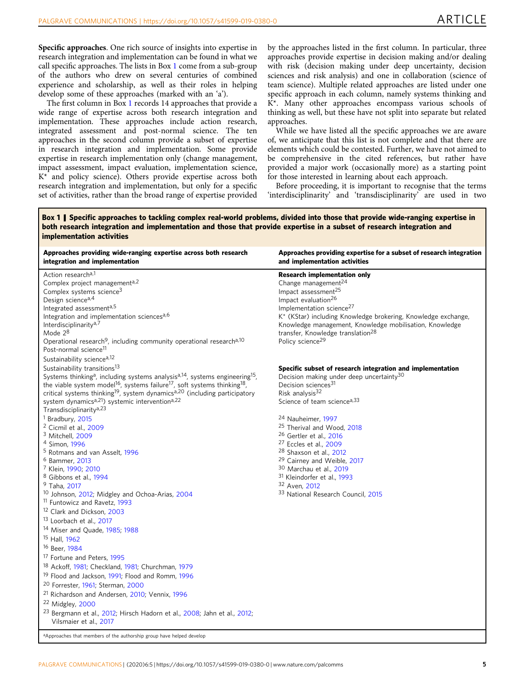<span id="page-5-0"></span>Specific approaches. One rich source of insights into expertise in research integration and implementation can be found in what we call specific approaches. The lists in Box 1 come from a sub-group of the authors who drew on several centuries of combined experience and scholarship, as well as their roles in helping develop some of these approaches (marked with an 'a').

The first column in Box 1 records 14 approaches that provide a wide range of expertise across both research integration and implementation. These approaches include action research, integrated assessment and post-normal science. The ten approaches in the second column provide a subset of expertise in research integration and implementation. Some provide expertise in research implementation only (change management, impact assessment, impact evaluation, implementation science, K\* and policy science). Others provide expertise across both research integration and implementation, but only for a specific set of activities, rather than the broad range of expertise provided by the approaches listed in the first column. In particular, three approaches provide expertise in decision making and/or dealing with risk (decision making under deep uncertainty, decision sciences and risk analysis) and one in collaboration (science of team science). Multiple related approaches are listed under one specific approach in each column, namely systems thinking and K\*. Many other approaches encompass various schools of thinking as well, but these have not split into separate but related approaches.

While we have listed all the specific approaches we are aware of, we anticipate that this list is not complete and that there are elements which could be contested. Further, we have not aimed to be comprehensive in the cited references, but rather have provided a major work (occasionally more) as a starting point for those interested in learning about each approach.

Before proceeding, it is important to recognise that the terms 'interdisciplinarity' and 'transdisciplinarity' are used in two

Box 1 | Specific approaches to tackling complex real-world problems, divided into those that provide wide-ranging expertise in both research integration and implementation and those that provide expertise in a subset of research integration and implementation activities

| Approaches providing wide-ranging expertise across both research<br>integration and implementation                                                                                                                                                                                                                                                                                                                                                                                                                                                                                                                                                                                                                                                                                                                                                                                                                                                                                                                                                                                                                                                                                                                                                                                                                                                                                                         | Approaches providing expertise for a subset of research integration<br>and implementation activities                                                                                                                                                                                                                                                                                                                                                                                                                                                                                                |
|------------------------------------------------------------------------------------------------------------------------------------------------------------------------------------------------------------------------------------------------------------------------------------------------------------------------------------------------------------------------------------------------------------------------------------------------------------------------------------------------------------------------------------------------------------------------------------------------------------------------------------------------------------------------------------------------------------------------------------------------------------------------------------------------------------------------------------------------------------------------------------------------------------------------------------------------------------------------------------------------------------------------------------------------------------------------------------------------------------------------------------------------------------------------------------------------------------------------------------------------------------------------------------------------------------------------------------------------------------------------------------------------------------|-----------------------------------------------------------------------------------------------------------------------------------------------------------------------------------------------------------------------------------------------------------------------------------------------------------------------------------------------------------------------------------------------------------------------------------------------------------------------------------------------------------------------------------------------------------------------------------------------------|
| Action research <sup>a,1</sup><br>Complex project management <sup>a,2</sup><br>Complex systems science <sup>3</sup><br>Design science <sup>a,4</sup><br>Integrated assessmenta,5<br>Integration and implementation sciencesa,6<br>Interdisciplinarity <sup>a,7</sup><br>Mode $2^8$<br>Operational research <sup>9</sup> , including community operational research <sup>a,10</sup><br>Post-normal science <sup>11</sup><br>Sustainability science <sup>a,12</sup>                                                                                                                                                                                                                                                                                                                                                                                                                                                                                                                                                                                                                                                                                                                                                                                                                                                                                                                                          | <b>Research implementation only</b><br>Change management $^{24}$<br>Impact assessment <sup>25</sup><br>Impact evaluation <sup>26</sup><br>Implementation science <sup>27</sup><br>K* (KStar) including Knowledge brokering, Knowledge exchange,<br>Knowledge management, Knowledge mobilisation, Knowledge<br>transfer, Knowledge translation <sup>28</sup><br>Policy science <sup>29</sup>                                                                                                                                                                                                         |
| Sustainability transitions <sup>13</sup><br>Systems thinking <sup>a</sup> , including systems analysis <sup>a,14</sup> , systems engineering <sup>15</sup> ,<br>the viable system model <sup>16</sup> , systems failure <sup>17</sup> , soft systems thinking <sup>18</sup> ,<br>critical systems thinking <sup>19</sup> , system dynamics <sup>a,20</sup> (including participatory<br>system dynamicsa,21) systemic interventiona,22<br>Transdisciplinarity <sup>a,23</sup><br><sup>1</sup> Bradbury, 2015<br><sup>2</sup> Cicmil et al., 2009<br><sup>3</sup> Mitchell, 2009<br><sup>4</sup> Simon, 1996<br><sup>5</sup> Rotmans and van Asselt, 1996<br><sup>6</sup> Bammer, 2013<br><sup>7</sup> Klein, 1990; 2010<br><sup>8</sup> Gibbons et al., 1994<br><sup>9</sup> Taha, 2017<br><sup>10</sup> Johnson, 2012; Midgley and Ochoa-Arias, 2004<br><sup>11</sup> Funtowicz and Ravetz, 1993<br><sup>12</sup> Clark and Dickson, 2003<br><sup>13</sup> Loorbach et al., 2017<br><sup>14</sup> Miser and Quade, 1985; 1988<br><sup>15</sup> Hall, 1962<br><sup>16</sup> Beer, 1984<br><sup>17</sup> Fortune and Peters, 1995<br><sup>18</sup> Ackoff, 1981; Checkland, 1981; Churchman, 1979<br><sup>19</sup> Flood and Jackson, 1991; Flood and Romm, 1996<br><sup>20</sup> Forrester, 1961; Sterman, 2000<br><sup>21</sup> Richardson and Andersen, 2010; Vennix, 1996<br><sup>22</sup> Midgley, 2000 | Specific subset of research integration and implementation<br>Decision making under deep uncertainty <sup>30</sup><br>Decision sciences <sup>31</sup><br>Risk analysis $32$<br>Science of team science <sup>a, 33</sup><br><sup>24</sup> Nauheimer, 1997<br><sup>25</sup> Therival and Wood, 2018<br><sup>26</sup> Gertler et al., 2016<br><sup>27</sup> Eccles et al., 2009<br><sup>28</sup> Shaxson et al., 2012<br><sup>29</sup> Cairney and Weible, 2017<br>30 Marchau et al., 2019<br><sup>31</sup> Kleindorfer et al., 1993<br>32 Aven, 2012<br><sup>33</sup> National Research Council, 2015 |
| <sup>23</sup> Bergmann et al., 2012; Hirsch Hadorn et al., 2008; Jahn et al., 2012;<br>Vilsmaier et al., 2017<br><sup>a</sup> Approaches that members of the authorship group have helped develop                                                                                                                                                                                                                                                                                                                                                                                                                                                                                                                                                                                                                                                                                                                                                                                                                                                                                                                                                                                                                                                                                                                                                                                                          |                                                                                                                                                                                                                                                                                                                                                                                                                                                                                                                                                                                                     |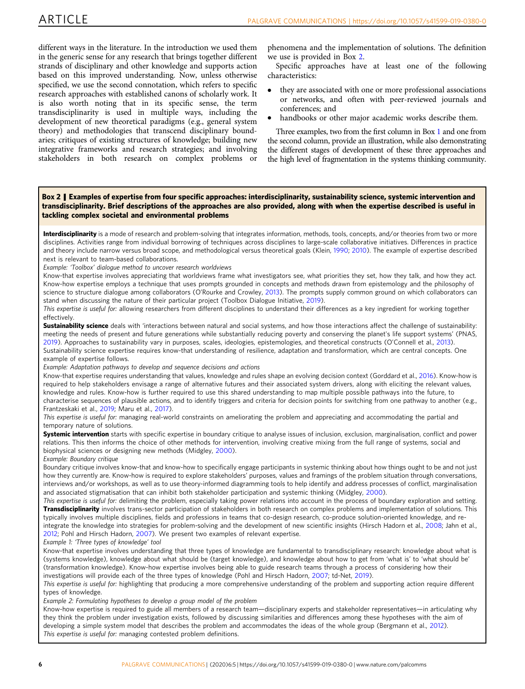<span id="page-6-0"></span>different ways in the literature. In the introduction we used them in the generic sense for any research that brings together different strands of disciplinary and other knowledge and supports action based on this improved understanding. Now, unless otherwise specified, we use the second connotation, which refers to specific research approaches with established canons of scholarly work. It is also worth noting that in its specific sense, the term transdisciplinarity is used in multiple ways, including the development of new theoretical paradigms (e.g., general system theory) and methodologies that transcend disciplinary boundaries; critiques of existing structures of knowledge; building new integrative frameworks and research strategies; and involving stakeholders in both research on complex problems or phenomena and the implementation of solutions. The definition we use is provided in Box 2.

Specific approaches have at least one of the following characteristics:

- they are associated with one or more professional associations or networks, and often with peer-reviewed journals and conferences; and
- handbooks or other major academic works describe them.

Three examples, two from the first column in Box [1](#page-5-0) and one from the second column, provide an illustration, while also demonstrating the different stages of development of these three approaches and the high level of fragmentation in the systems thinking community.

### Box 2 | Examples of expertise from four specific approaches: interdisciplinarity, sustainability science, systemic intervention and transdisciplinarity. Brief descriptions of the approaches are also provided, along with when the expertise described is useful in tackling complex societal and environmental problems

Interdisciplinarity is a mode of research and problem-solving that integrates information, methods, tools, concepts, and/or theories from two or more disciplines. Activities range from individual borrowing of techniques across disciplines to large-scale collaborative initiatives. Differences in practice and theory include narrow versus broad scope, and methodological versus theoretical goals (Klein, [1990](#page-14-0); [2010\)](#page-14-0). The example of expertise described next is relevant to team-based collaborations.

Example: 'Toolbox' dialogue method to uncover research worldviews

Know-that expertise involves appreciating that worldviews frame what investigators see, what priorities they set, how they talk, and how they act. Know-how expertise employs a technique that uses prompts grounded in concepts and methods drawn from epistemology and the philosophy of science to structure dialogue among collaborators (O'Rourke and Crowley, [2013](#page-14-0)). The prompts supply common ground on which collaborators can stand when discussing the nature of their particular project (Toolbox Dialogue Initiative, [2019\)](#page-15-0).

This expertise is useful for: allowing researchers from different disciplines to understand their differences as a key ingredient for working together effectively.

Sustainability science deals with 'interactions between natural and social systems, and how those interactions affect the challenge of sustainability: meeting the needs of present and future generations while substantially reducing poverty and conserving the planet's life support systems' (PNAS, [2019](#page-14-0)). Approaches to sustainability vary in purposes, scales, ideologies, epistemologies, and theoretical constructs (O'Connell et al., [2013](#page-14-0)). Sustainability science expertise requires know-that understanding of resilience, adaptation and transformation, which are central concepts. One example of expertise follows.

Example: Adaptation pathways to develop and sequence decisions and actions

Know-that expertise requires understanding that values, knowledge and rules shape an evolving decision context (Gorddard et al., [2016\)](#page-13-0). Know-how is required to help stakeholders envisage a range of alternative futures and their associated system drivers, along with eliciting the relevant values, knowledge and rules. Know-how is further required to use this shared understanding to map multiple possible pathways into the future, to characterise sequences of plausible actions, and to identify triggers and criteria for decision points for switching from one pathway to another (e.g., Frantzeskaki et al., [2019;](#page-13-0) Maru et al., [2017\)](#page-14-0).

This expertise is useful for: managing real-world constraints on ameliorating the problem and appreciating and accommodating the partial and temporary nature of solutions.

Systemic intervention starts with specific expertise in boundary critique to analyse issues of inclusion, exclusion, marginalisation, conflict and power relations. This then informs the choice of other methods for intervention, involving creative mixing from the full range of systems, social and biophysical sciences or designing new methods (Midgley, [2000\)](#page-14-0).

Example: Boundary critique

Boundary critique involves know-that and know-how to specifically engage participants in systemic thinking about how things ought to be and not just how they currently are. Know-how is required to explore stakeholders' purposes, values and framings of the problem situation through conversations, interviews and/or workshops, as well as to use theory-informed diagramming tools to help identify and address processes of conflict, marginalisation and associated stigmatisation that can inhibit both stakeholder participation and systemic thinking (Midgley, [2000](#page-14-0)).

This expertise is useful for: delimiting the problem, especially taking power relations into account in the process of boundary exploration and setting. Transdisciplinarity involves trans-sector participation of stakeholders in both research on complex problems and implementation of solutions. This typically involves multiple disciplines, fields and professions in teams that co-design research, co-produce solution-oriented knowledge, and re-integrate the knowledge into strategies for problem-solving and the development of new scientific insights (Hirsch Hadorn et al., [2008](#page-14-0); Jahn et al., [2012](#page-14-0); Pohl and Hirsch Hadorn, [2007](#page-14-0)). We present two examples of relevant expertise.

#### Example 1: 'Three types of knowledge' tool

Know-that expertise involves understanding that three types of knowledge are fundamental to transdisciplinary research: knowledge about what is (systems knowledge), knowledge about what should be (target knowledge), and knowledge about how to get from 'what is' to 'what should be' (transformation knowledge). Know-how expertise involves being able to guide research teams through a process of considering how their investigations will provide each of the three types of knowledge (Pohl and Hirsch Hadorn, [2007](#page-14-0); td-Net, [2019\)](#page-15-0).

This expertise is useful for: highlighting that producing a more comprehensive understanding of the problem and supporting action require different types of knowledge.

Example 2: Formulating hypotheses to develop a group model of the problem

Know-how expertise is required to guide all members of a research team—disciplinary experts and stakeholder representatives—in articulating why they think the problem under investigation exists, followed by discussing similarities and differences among these hypotheses with the aim of developing a simple system model that describes the problem and accommodates the ideas of the whole group (Bergmann et al., [2012\)](#page-13-0). This expertise is useful for: managing contested problem definitions.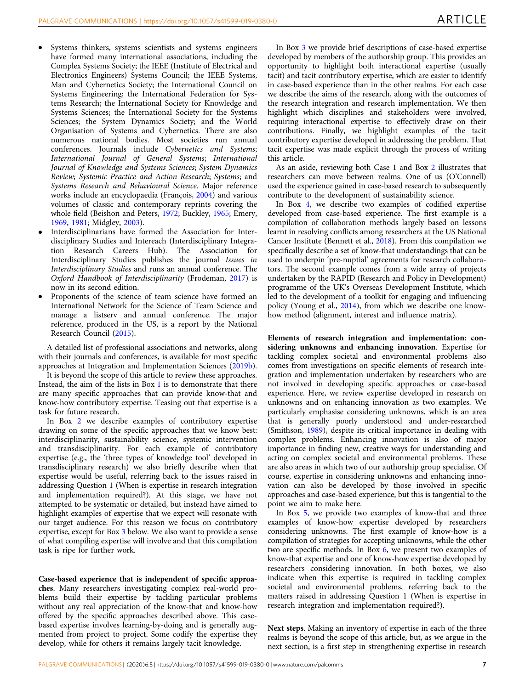- Systems thinkers, systems scientists and systems engineers have formed many international associations, including the Complex Systems Society; the IEEE (Institute of Electrical and Electronics Engineers) Systems Council; the IEEE Systems, Man and Cybernetics Society; the International Council on Systems Engineering; the International Federation for Systems Research; the International Society for Knowledge and Systems Sciences; the International Society for the Systems Sciences; the System Dynamics Society; and the World Organisation of Systems and Cybernetics. There are also numerous national bodies. Most societies run annual conferences. Journals include Cybernetics and Systems; International Journal of General Systems; International Journal of Knowledge and Systems Sciences; System Dynamics Review; Systemic Practice and Action Research; Systems; and Systems Research and Behavioural Science. Major reference works include an encyclopaedia (François, [2004\)](#page-13-0) and various volumes of classic and contemporary reprints covering the whole field (Beishon and Peters, [1972;](#page-13-0) Buckley, [1965;](#page-13-0) Emery, [1969,](#page-13-0) [1981](#page-13-0); Midgley, [2003\)](#page-14-0).
- Interdisciplinarians have formed the Association for Interdisciplinary Studies and Intereach (Interdisciplinary Integration Research Careers Hub). The Association for Interdisciplinary Studies publishes the journal Issues in Interdisciplinary Studies and runs an annual conference. The Oxford Handbook of Interdisciplinarity (Frodeman, [2017\)](#page-13-0) is now in its second edition.
- Proponents of the science of team science have formed an International Network for the Science of Team Science and manage a listserv and annual conference. The major reference, produced in the US, is a report by the National Research Council ([2015\)](#page-14-0).

A detailed list of professional associations and networks, along with their journals and conferences, is available for most specific approaches at Integration and Implementation Sciences [\(2019b](#page-14-0)).

It is beyond the scope of this article to review these approaches. Instead, the aim of the lists in Box [1](#page-5-0) is to demonstrate that there are many specific approaches that can provide know-that and know-how contributory expertise. Teasing out that expertise is a task for future research.

In Box [2](#page-6-0) we describe examples of contributory expertise drawing on some of the specific approaches that we know best: interdisciplinarity, sustainability science, systemic intervention and transdisciplinarity. For each example of contributory expertise (e.g., the 'three types of knowledge tool' developed in transdisciplinary research) we also briefly describe when that expertise would be useful, referring back to the issues raised in addressing Question 1 (When is expertise in research integration and implementation required?). At this stage, we have not attempted to be systematic or detailed, but instead have aimed to highlight examples of expertise that we expect will resonate with our target audience. For this reason we focus on contributory expertise, except for Box [3](#page-8-0) below. We also want to provide a sense of what compiling expertise will involve and that this compilation task is ripe for further work.

Case-based experience that is independent of specific approaches. Many researchers investigating complex real-world problems build their expertise by tackling particular problems without any real appreciation of the know-that and know-how offered by the specific approaches described above. This casebased expertise involves learning-by-doing and is generally augmented from project to project. Some codify the expertise they develop, while for others it remains largely tacit knowledge.

In Box [3](#page-8-0) we provide brief descriptions of case-based expertise developed by members of the authorship group. This provides an opportunity to highlight both interactional expertise (usually tacit) and tacit contributory expertise, which are easier to identify in case-based experience than in the other realms. For each case we describe the aims of the research, along with the outcomes of the research integration and research implementation. We then highlight which disciplines and stakeholders were involved, requiring interactional expertise to effectively draw on their contributions. Finally, we highlight examples of the tacit contributory expertise developed in addressing the problem. That tacit expertise was made explicit through the process of writing this article.

As an aside, reviewing both Case 1 and Box [2](#page-6-0) illustrates that researchers can move between realms. One of us (O'Connell) used the experience gained in case-based research to subsequently contribute to the development of sustainability science.

In Box [4](#page-9-0), we describe two examples of codified expertise developed from case-based experience. The first example is a compilation of collaboration methods largely based on lessons learnt in resolving conflicts among researchers at the US National Cancer Institute (Bennett et al., [2018\)](#page-13-0). From this compilation we specifically describe a set of know-that understandings that can be used to underpin 'pre-nuptial' agreements for research collaborators. The second example comes from a wide array of projects undertaken by the RAPID (Research and Policy in Development) programme of the UK's Overseas Development Institute, which led to the development of a toolkit for engaging and influencing policy (Young et al., [2014](#page-15-0)), from which we describe one knowhow method (alignment, interest and influence matrix).

Elements of research integration and implementation: considering unknowns and enhancing innovation. Expertise for tackling complex societal and environmental problems also comes from investigations on specific elements of research integration and implementation undertaken by researchers who are not involved in developing specific approaches or case-based experience. Here, we review expertise developed in research on unknowns and on enhancing innovation as two examples. We particularly emphasise considering unknowns, which is an area that is generally poorly understood and under-researched (Smithson, [1989](#page-15-0)), despite its critical importance in dealing with complex problems. Enhancing innovation is also of major importance in finding new, creative ways for understanding and acting on complex societal and environmental problems. These are also areas in which two of our authorship group specialise. Of course, expertise in considering unknowns and enhancing innovation can also be developed by those involved in specific approaches and case-based experience, but this is tangential to the point we aim to make here.

In Box [5,](#page-9-0) we provide two examples of know-that and three examples of know-how expertise developed by researchers considering unknowns. The first example of know-how is a compilation of strategies for accepting unknowns, while the other two are specific methods. In Box [6,](#page-10-0) we present two examples of know-that expertise and one of know-how expertise developed by researchers considering innovation. In both boxes, we also indicate when this expertise is required in tackling complex societal and environmental problems, referring back to the matters raised in addressing Question 1 (When is expertise in research integration and implementation required?).

Next steps. Making an inventory of expertise in each of the three realms is beyond the scope of this article, but, as we argue in the next section, is a first step in strengthening expertise in research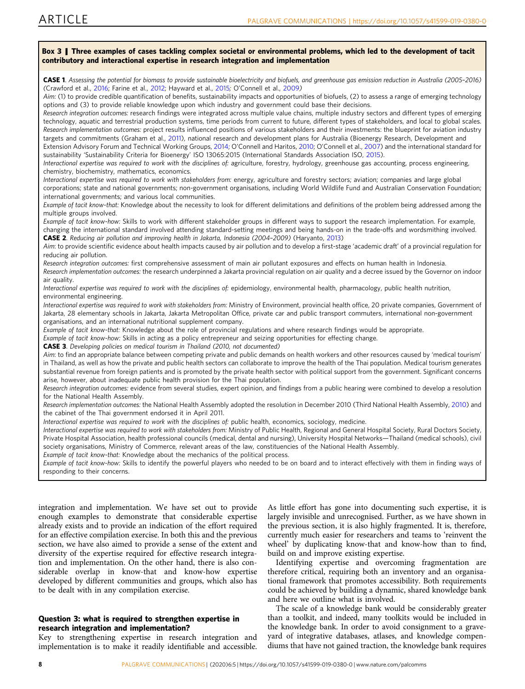<span id="page-8-0"></span>

Research implementation outcomes: the National Health Assembly adopted the resolution in December 2010 (Third National Health Assembly, [2010](#page-15-0)) and the cabinet of the Thai government endorsed it in April 2011.

Interactional expertise was required to work with the disciplines of: public health, economics, sociology, medicine.

Interactional expertise was required to work with stakeholders from: Ministry of Public Health, Regional and General Hospital Society, Rural Doctors Society, Private Hospital Association, health professional councils (medical, dental and nursing), University Hospital Networks—Thailand (medical schools), civil society organisations, Ministry of Commerce, relevant areas of the law, constituencies of the National Health Assembly.

Example of tacit know-that: Knowledge about the mechanics of the political process.

Example of tacit know-how: Skills to identify the powerful players who needed to be on board and to interact effectively with them in finding ways of responding to their concerns.

integration and implementation. We have set out to provide enough examples to demonstrate that considerable expertise already exists and to provide an indication of the effort required for an effective compilation exercise. In both this and the previous section, we have also aimed to provide a sense of the extent and diversity of the expertise required for effective research integration and implementation. On the other hand, there is also considerable overlap in know-that and know-how expertise developed by different communities and groups, which also has to be dealt with in any compilation exercise.

# Question 3: what is required to strengthen expertise in research integration and implementation?

Key to strengthening expertise in research integration and implementation is to make it readily identifiable and accessible.

As little effort has gone into documenting such expertise, it is largely invisible and unrecognised. Further, as we have shown in the previous section, it is also highly fragmented. It is, therefore, currently much easier for researchers and teams to 'reinvent the wheel' by duplicating know-that and know-how than to find, build on and improve existing expertise.

Identifying expertise and overcoming fragmentation are therefore critical, requiring both an inventory and an organisational framework that promotes accessibility. Both requirements could be achieved by building a dynamic, shared knowledge bank and here we outline what is involved.

The scale of a knowledge bank would be considerably greater than a toolkit, and indeed, many toolkits would be included in the knowledge bank. In order to avoid consignment to a graveyard of integrative databases, atlases, and knowledge compendiums that have not gained traction, the knowledge bank requires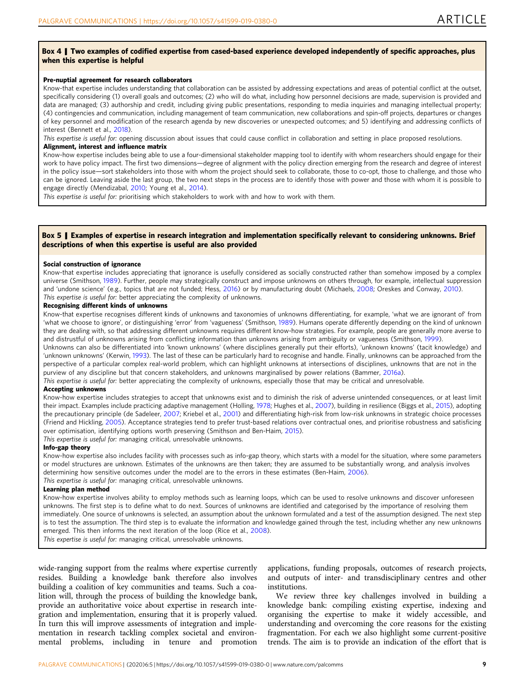#### <span id="page-9-0"></span>Box 4 | Two examples of codified expertise from cased-based experience developed independently of specific approaches, plus when this expertise is helpful

#### Pre-nuptial agreement for research collaborators

Know-that expertise includes understanding that collaboration can be assisted by addressing expectations and areas of potential conflict at the outset, specifically considering (1) overall goals and outcomes; (2) who will do what, including how personnel decisions are made, supervision is provided and data are managed; (3) authorship and credit, including giving public presentations, responding to media inquiries and managing intellectual property; (4) contingencies and communication, including management of team communication, new collaborations and spin-off projects, departures or changes of key personnel and modification of the research agenda by new discoveries or unexpected outcomes; and 5) identifying and addressing conflicts of interest (Bennett et al., [2018](#page-13-0)).

This expertise is useful for: opening discussion about issues that could cause conflict in collaboration and setting in place proposed resolutions.

#### Alignment, interest and influence matrix

Know-how expertise includes being able to use a four-dimensional stakeholder mapping tool to identify with whom researchers should engage for their work to have policy impact. The first two dimensions—degree of alignment with the policy direction emerging from the research and degree of interest in the policy issue—sort stakeholders into those with whom the project should seek to collaborate, those to co-opt, those to challenge, and those who can be ignored. Leaving aside the last group, the two next steps in the process are to identify those with power and those with whom it is possible to engage directly (Mendizabal, [2010](#page-14-0); Young et al., [2014\)](#page-15-0).

This expertise is useful for: prioritising which stakeholders to work with and how to work with them.

#### Box 5 | Examples of expertise in research integration and implementation specifically relevant to considering unknowns. Brief descriptions of when this expertise is useful are also provided

#### Social construction of ignorance

Know-that expertise includes appreciating that ignorance is usefully considered as socially constructed rather than somehow imposed by a complex universe (Smithson, [1989](#page-15-0)). Further, people may strategically construct and impose unknowns on others through, for example, intellectual suppression and 'undone science' (e.g., topics that are not funded; Hess, [2016\)](#page-13-0) or by manufacturing doubt (Michaels, [2008;](#page-14-0) Oreskes and Conway, [2010](#page-14-0)). This expertise is useful for: better appreciating the complexity of unknowns.

#### Recognising different kinds of unknowns

Know-that expertise recognises different kinds of unknowns and taxonomies of unknowns differentiating, for example, 'what we are ignorant of' from 'what we choose to ignore', or distinguishing 'error' from 'vagueness' (Smithson, [1989](#page-15-0)). Humans operate differently depending on the kind of unknown they are dealing with, so that addressing different unknowns requires different know-how strategies. For example, people are generally more averse to and distrustful of unknowns arising from conflicting information than unknowns arising from ambiguity or vagueness (Smithson, [1999\)](#page-15-0).

Unknowns can also be differentiated into 'known unknowns' (where disciplines generally put their efforts), 'unknown knowns' (tacit knowledge) and 'unknown unknowns' (Kerwin, [1993](#page-14-0)). The last of these can be particularly hard to recognise and handle. Finally, unknowns can be approached from the perspective of a particular complex real-world problem, which can highlight unknowns at intersections of disciplines, unknowns that are not in the purview of any discipline but that concern stakeholders, and unknowns marginalised by power relations (Bammer, [2016a\)](#page-13-0).

This expertise is useful for: better appreciating the complexity of unknowns, especially those that may be critical and unresolvable.

#### Accepting unknowns

Know-how expertise includes strategies to accept that unknowns exist and to diminish the risk of adverse unintended consequences, or at least limit their impact. Examples include practicing adaptive management (Holling, [1978](#page-14-0); Hughes et al., [2007\)](#page-14-0), building in resilience (Biggs et al., [2015\)](#page-13-0), adopting the precautionary principle (de Sadeleer, [2007;](#page-13-0) Kriebel et al., [2001](#page-14-0)) and differentiating high-risk from low-risk unknowns in strategic choice processes (Friend and Hickling, [2005\)](#page-13-0). Acceptance strategies tend to prefer trust-based relations over contractual ones, and prioritise robustness and satisficing over optimisation, identifying options worth preserving (Smithson and Ben-Haim, [2015](#page-15-0)).

This expertise is useful for: managing critical, unresolvable unknowns.

# Info-gap theory

Know-how expertise also includes facility with processes such as info-gap theory, which starts with a model for the situation, where some parameters or model structures are unknown. Estimates of the unknowns are then taken; they are assumed to be substantially wrong, and analysis involves determining how sensitive outcomes under the model are to the errors in these estimates (Ben-Haim, [2006](#page-13-0)). This expertise is useful for: managing critical, unresolvable unknowns.

#### Learning plan method

Know-how expertise involves ability to employ methods such as learning loops, which can be used to resolve unknowns and discover unforeseen unknowns. The first step is to define what to do next. Sources of unknowns are identified and categorised by the importance of resolving them immediately. One source of unknowns is selected, an assumption about the unknown formulated and a test of the assumption designed. The next step is to test the assumption. The third step is to evaluate the information and knowledge gained through the test, including whether any new unknowns emerged. This then informs the next iteration of the loop (Rice et al., [2008\)](#page-14-0).

This expertise is useful for: managing critical, unresolvable unknowns.

wide-ranging support from the realms where expertise currently resides. Building a knowledge bank therefore also involves building a coalition of key communities and teams. Such a coalition will, through the process of building the knowledge bank, provide an authoritative voice about expertise in research integration and implementation, ensuring that it is properly valued. In turn this will improve assessments of integration and implementation in research tackling complex societal and environmental problems, including in tenure and promotion

applications, funding proposals, outcomes of research projects, and outputs of inter- and transdisciplinary centres and other institutions.

We review three key challenges involved in building a knowledge bank: compiling existing expertise, indexing and organising the expertise to make it widely accessible, and understanding and overcoming the core reasons for the existing fragmentation. For each we also highlight some current-positive trends. The aim is to provide an indication of the effort that is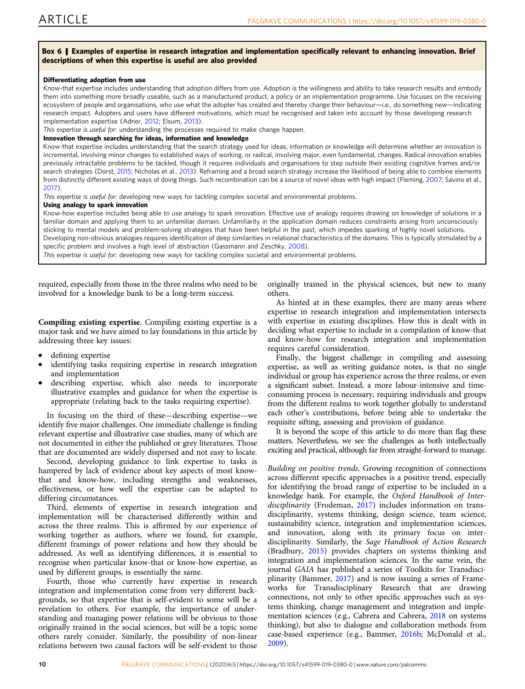# <span id="page-10-0"></span>Box 6 | Examples of expertise in research integration and implementation specifically relevant to enhancing innovation. Brief descriptions of when this expertise is useful are also provided

### Differentiating adoption from use

Know-that expertise includes understanding that adoption differs from use. Adoption is the willingness and ability to take research results and embody them into something more broadly useable, such as a manufactured product, a policy or an implementation programme. Use focuses on the receiving ecosystem of people and organisations, who use what the adopter has created and thereby change their behaviour—i.e., do something new—indicating research impact. Adopters and users have different motivations, which must be recognised and taken into account by those developing research implementation expertise (Adner, [2012](#page-12-0); Elsum, [2013\)](#page-13-0).

This expertise is useful for: understanding the processes required to make change happen.

### Innovation through searching for ideas, information and knowledge

Know-that expertise includes understanding that the search strategy used for ideas, information or knowledge will determine whether an innovation is incremental, involving minor changes to established ways of working, or radical, involving major, even fundamental, changes. Radical innovation enables previously intractable problems to be tackled, though it requires individuals and organisations to step outside their existing cognitive frames and/or search strategies (Dorst, [2015;](#page-13-0) Nicholas et al., [2013](#page-14-0)). Reframing and a broad search strategy increase the likelihood of being able to combine elements from distinctly different existing ways of doing things. Such recombination can be a source of novel ideas with high impact (Fleming, [2007](#page-13-0); Savino et al., [2017](#page-15-0)).

This expertise is useful for: developing new ways for tackling complex societal and environmental problems.

#### Using analogy to spark innovation

Know-how expertise includes being able to use analogy to spark innovation. Effective use of analogy requires drawing on knowledge of solutions in a familiar domain and applying them to an unfamiliar domain. Unfamiliarity in the application domain reduces constraints arising from unconsciously sticking to mental models and problem-solving strategies that have been helpful in the past, which impedes sparking of highly novel solutions. Developing non-obvious analogies requires identification of deep similarities in relational characteristics of the domains. This is typically stimulated by a

specific problem and involves a high level of abstraction (Gassmann and Zeschky, [2008\)](#page-13-0).

This expertise is useful for: developing new ways for tackling complex societal and environmental problems.

required, especially from those in the three realms who need to be involved for a knowledge bank to be a long-term success.

Compiling existing expertise. Compiling existing expertise is a major task and we have aimed to lay foundations in this article by addressing three key issues:

- defining expertise
- identifying tasks requiring expertise in research integration and implementation
- describing expertise, which also needs to incorporate illustrative examples and guidance for when the expertise is appropriate (relating back to the tasks requiring expertise).

In focusing on the third of these—describing expertise—we identify five major challenges. One immediate challenge is finding relevant expertise and illustrative case studies, many of which are not documented in either the published or grey literatures. Those that are documented are widely dispersed and not easy to locate.

Second, developing guidance to link expertise to tasks is hampered by lack of evidence about key aspects of most knowthat and know-how, including strengths and weaknesses, effectiveness, or how well the expertise can be adapted to differing circumstances.

Third, elements of expertise in research integration and implementation will be characterised differently within and across the three realms. This is affirmed by our experience of working together as authors, where we found, for example, different framings of power relations and how they should be addressed. As well as identifying differences, it is essential to recognise when particular know-that or know-how expertise, as used by different groups, is essentially the same.

Fourth, those who currently have expertise in research integration and implementation come from very different backgrounds, so that expertise that is self-evident to some will be a revelation to others. For example, the importance of understanding and managing power relations will be obvious to those originally trained in the social sciences, but will be a topic some others rarely consider. Similarly, the possibility of non-linear relations between two causal factors will be self-evident to those

originally trained in the physical sciences, but new to many others.

As hinted at in these examples, there are many areas where expertise in research integration and implementation intersects with expertise in existing disciplines. How this is dealt with in deciding what expertise to include in a compilation of know-that and know-how for research integration and implementation requires careful consideration.

Finally, the biggest challenge in compiling and assessing expertise, as well as writing guidance notes, is that no single individual or group has experience across the three realms, or even a significant subset. Instead, a more labour-intensive and timeconsuming process is necessary, requiring individuals and groups from the different realms to work together globally to understand each other's contributions, before being able to undertake the requisite sifting, assessing and provision of guidance.

It is beyond the scope of this article to do more than flag these matters. Nevertheless, we see the challenges as both intellectually exciting and practical, although far from straight-forward to manage.

Building on positive trends. Growing recognition of connections across different specific approaches is a positive trend, especially for identifying the broad range of expertise to be included in a knowledge bank. For example, the Oxford Handbook of Inter-disciplinarity (Frodeman, [2017\)](#page-13-0) includes information on transdisciplinarity, systems thinking, design science, team science, sustainability science, integration and implementation sciences, and innovation, along with its primary focus on interdisciplinarity. Similarly, the Sage Handbook of Action Research (Bradbury, [2015\)](#page-13-0) provides chapters on systems thinking and integration and implementation sciences. In the same vein, the journal GAIA has published a series of Toolkits for Transdisciplinarity (Bammer, [2017](#page-13-0)) and is now issuing a series of Frameworks for Transdisciplinary Research that are drawing connections, not only to other specific approaches such as systems thinking, change management and integration and implementation sciences (e.g., Cabrera and Cabrera, [2018](#page-13-0) on systems thinking), but also to dialogue and collaboration methods from case-based experience (e.g., Bammer, [2016b;](#page-13-0) McDonald et al., [2009\)](#page-14-0).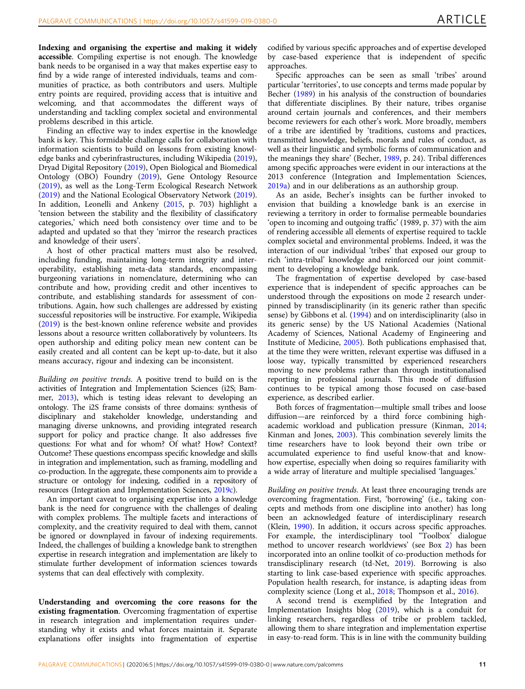Indexing and organising the expertise and making it widely accessible. Compiling expertise is not enough. The knowledge bank needs to be organised in a way that makes expertise easy to find by a wide range of interested individuals, teams and communities of practice, as both contributors and users. Multiple entry points are required, providing access that is intuitive and welcoming, and that accommodates the different ways of understanding and tackling complex societal and environmental problems described in this article.

Finding an effective way to index expertise in the knowledge bank is key. This formidable challenge calls for collaboration with information scientists to build on lessons from existing knowledge banks and cyberinfrastructures, including Wikipedia [\(2019](#page-15-0)), Dryad Digital Repository [\(2019](#page-13-0)), Open Biological and Biomedical Ontology (OBO) Foundry ([2019\)](#page-14-0), Gene Ontology Resource ([2019\)](#page-13-0), as well as the Long-Term Ecological Research Network ([2019\)](#page-14-0) and the National Ecological Observatory Network [\(2019](#page-14-0)). In addition, Leonelli and Ankeny ([2015,](#page-14-0) p. 703) highlight a 'tension between the stability and the flexibility of classificatory categories,' which need both consistency over time and to be adapted and updated so that they 'mirror the research practices and knowledge of their users'.

A host of other practical matters must also be resolved, including funding, maintaining long-term integrity and interoperability, establishing meta-data standards, encompassing burgeoning variations in nomenclature, determining who can contribute and how, providing credit and other incentives to contribute, and establishing standards for assessment of contributions. Again, how such challenges are addressed by existing successful repositories will be instructive. For example, Wikipedia ([2019\)](#page-15-0) is the best-known online reference website and provides lessons about a resource written collaboratively by volunteers. Its open authorship and editing policy mean new content can be easily created and all content can be kept up-to-date, but it also means accuracy, rigour and indexing can be inconsistent.

Building on positive trends. A positive trend to build on is the activities of Integration and Implementation Sciences (i2S; Bammer, [2013\)](#page-13-0), which is testing ideas relevant to developing an ontology. The i2S frame consists of three domains: synthesis of disciplinary and stakeholder knowledge, understanding and managing diverse unknowns, and providing integrated research support for policy and practice change. It also addresses five questions: For what and for whom? Of what? How? Context? Outcome? These questions encompass specific knowledge and skills in integration and implementation, such as framing, modelling and co-production. In the aggregate, these components aim to provide a structure or ontology for indexing, codified in a repository of resources (Integration and Implementation Sciences, [2019c](#page-14-0)).

An important caveat to organising expertise into a knowledge bank is the need for congruence with the challenges of dealing with complex problems. The multiple facets and interactions of complexity, and the creativity required to deal with them, cannot be ignored or downplayed in favour of indexing requirements. Indeed, the challenges of building a knowledge bank to strengthen expertise in research integration and implementation are likely to stimulate further development of information sciences towards systems that can deal effectively with complexity.

Understanding and overcoming the core reasons for the existing fragmentation. Overcoming fragmentation of expertise in research integration and implementation requires understanding why it exists and what forces maintain it. Separate explanations offer insights into fragmentation of expertise

codified by various specific approaches and of expertise developed by case-based experience that is independent of specific approaches.

Specific approaches can be seen as small 'tribes' around particular 'territories', to use concepts and terms made popular by Becher [\(1989\)](#page-13-0) in his analysis of the construction of boundaries that differentiate disciplines. By their nature, tribes organise around certain journals and conferences, and their members become reviewers for each other's work. More broadly, members of a tribe are identified by 'traditions, customs and practices, transmitted knowledge, beliefs, morals and rules of conduct, as well as their linguistic and symbolic forms of communication and the meanings they share' (Becher, [1989](#page-13-0), p. 24). Tribal differences among specific approaches were evident in our interactions at the 2013 conference (Integration and Implementation Sciences, [2019a\)](#page-14-0) and in our deliberations as an authorship group.

As an aside, Becher's insights can be further invoked to envision that building a knowledge bank is an exercise in reviewing a territory in order to formalise permeable boundaries 'open to incoming and outgoing traffic' (1989, p. 37) with the aim of rendering accessible all elements of expertise required to tackle complex societal and environmental problems. Indeed, it was the interaction of our individual 'tribes' that exposed our group to rich 'intra-tribal' knowledge and reinforced our joint commitment to developing a knowledge bank.

The fragmentation of expertise developed by case-based experience that is independent of specific approaches can be understood through the expositions on mode 2 research underpinned by transdisciplinarity (in its generic rather than specific sense) by Gibbons et al. ([1994](#page-13-0)) and on interdisciplinarity (also in its generic sense) by the US National Academies (National Academy of Sciences, National Academy of Engineering and Institute of Medicine, [2005](#page-14-0)). Both publications emphasised that, at the time they were written, relevant expertise was diffused in a loose way, typically transmitted by experienced researchers moving to new problems rather than through institutionalised reporting in professional journals. This mode of diffusion continues to be typical among those focused on case-based experience, as described earlier.

Both forces of fragmentation—multiple small tribes and loose diffusion—are reinforced by a third force combining highacademic workload and publication pressure (Kinman, [2014;](#page-14-0) Kinman and Jones, [2003](#page-14-0)). This combination severely limits the time researchers have to look beyond their own tribe or accumulated experience to find useful know-that and knowhow expertise, especially when doing so requires familiarity with a wide array of literature and multiple specialised 'languages.'

Building on positive trends. At least three encouraging trends are overcoming fragmentation. First, 'borrowing' (i.e., taking concepts and methods from one discipline into another) has long been an acknowledged feature of interdisciplinary research (Klein, [1990](#page-14-0)). In addition, it occurs across specific approaches. For example, the interdisciplinary tool "Toolbox' dialogue method to uncover research worldviews' (see Box [2\)](#page-6-0) has been incorporated into an online toolkit of co-production methods for transdisciplinary research (td-Net, [2019\)](#page-15-0). Borrowing is also starting to link case-based experience with specific approaches. Population health research, for instance, is adapting ideas from complexity science (Long et al., [2018;](#page-14-0) Thompson et al., [2016\)](#page-15-0).

A second trend is exemplified by the Integration and Implementation Insights blog [\(2019\)](#page-14-0), which is a conduit for linking researchers, regardless of tribe or problem tackled, allowing them to share integration and implementation expertise in easy-to-read form. This is in line with the community building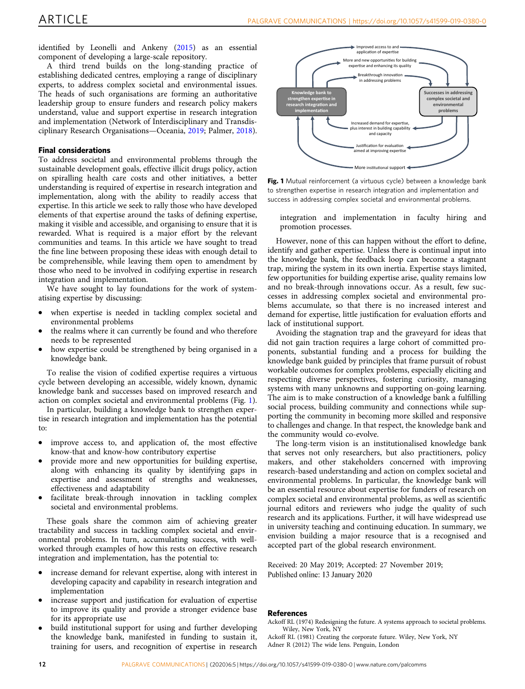<span id="page-12-0"></span>identified by Leonelli and Ankeny ([2015\)](#page-14-0) as an essential component of developing a large-scale repository.

A third trend builds on the long-standing practice of establishing dedicated centres, employing a range of disciplinary experts, to address complex societal and environmental issues. The heads of such organisations are forming an authoritative leadership group to ensure funders and research policy makers understand, value and support expertise in research integration and implementation (Network of Interdisciplinary and Transdisciplinary Research Organisations—Oceania, [2019](#page-14-0); Palmer, [2018](#page-14-0)).

# Final considerations

To address societal and environmental problems through the sustainable development goals, effective illicit drugs policy, action on spiralling health care costs and other initiatives, a better understanding is required of expertise in research integration and implementation, along with the ability to readily access that expertise. In this article we seek to rally those who have developed elements of that expertise around the tasks of defining expertise, making it visible and accessible, and organising to ensure that it is rewarded. What is required is a major effort by the relevant communities and teams. In this article we have sought to tread the fine line between proposing these ideas with enough detail to be comprehensible, while leaving them open to amendment by those who need to be involved in codifying expertise in research integration and implementation.

We have sought to lay foundations for the work of systematising expertise by discussing:

- when expertise is needed in tackling complex societal and environmental problems
- the realms where it can currently be found and who therefore needs to be represented
- how expertise could be strengthened by being organised in a knowledge bank.

To realise the vision of codified expertise requires a virtuous cycle between developing an accessible, widely known, dynamic knowledge bank and successes based on improved research and action on complex societal and environmental problems (Fig. 1).

In particular, building a knowledge bank to strengthen expertise in research integration and implementation has the potential to:

- improve access to, and application of, the most effective know-that and know-how contributory expertise
- provide more and new opportunities for building expertise, along with enhancing its quality by identifying gaps in expertise and assessment of strengths and weaknesses, effectiveness and adaptability
- facilitate break-through innovation in tackling complex societal and environmental problems.

These goals share the common aim of achieving greater tractability and success in tackling complex societal and environmental problems. In turn, accumulating success, with wellworked through examples of how this rests on effective research integration and implementation, has the potential to:

- increase demand for relevant expertise, along with interest in developing capacity and capability in research integration and implementation
- increase support and justification for evaluation of expertise to improve its quality and provide a stronger evidence base for its appropriate use
- build institutional support for using and further developing the knowledge bank, manifested in funding to sustain it, training for users, and recognition of expertise in research



Fig. 1 Mutual reinforcement (a virtuous cycle) between a knowledge bank to strengthen expertise in research integration and implementation and success in addressing complex societal and environmental problems.

integration and implementation in faculty hiring and promotion processes.

However, none of this can happen without the effort to define, identify and gather expertise. Unless there is continual input into the knowledge bank, the feedback loop can become a stagnant trap, miring the system in its own inertia. Expertise stays limited, few opportunities for building expertise arise, quality remains low and no break-through innovations occur. As a result, few successes in addressing complex societal and environmental problems accumulate, so that there is no increased interest and demand for expertise, little justification for evaluation efforts and lack of institutional support.

Avoiding the stagnation trap and the graveyard for ideas that did not gain traction requires a large cohort of committed proponents, substantial funding and a process for building the knowledge bank guided by principles that frame pursuit of robust workable outcomes for complex problems, especially eliciting and respecting diverse perspectives, fostering curiosity, managing systems with many unknowns and supporting on-going learning. The aim is to make construction of a knowledge bank a fulfilling social process, building community and connections while supporting the community in becoming more skilled and responsive to challenges and change. In that respect, the knowledge bank and the community would co-evolve.

The long-term vision is an institutionalised knowledge bank that serves not only researchers, but also practitioners, policy makers, and other stakeholders concerned with improving research-based understanding and action on complex societal and environmental problems. In particular, the knowledge bank will be an essential resource about expertise for funders of research on complex societal and environmental problems, as well as scientific journal editors and reviewers who judge the quality of such research and its applications. Further, it will have widespread use in university teaching and continuing education. In summary, we envision building a major resource that is a recognised and accepted part of the global research environment.

Received: 20 May 2019; Accepted: 27 November 2019;

# References

Ackoff RL (1974) Redesigning the future. A systems approach to societal problems. Wiley, New York, NY

Ackoff RL (1981) Creating the corporate future. Wiley, New York, NY Adner R (2012) The wide lens. Penguin, London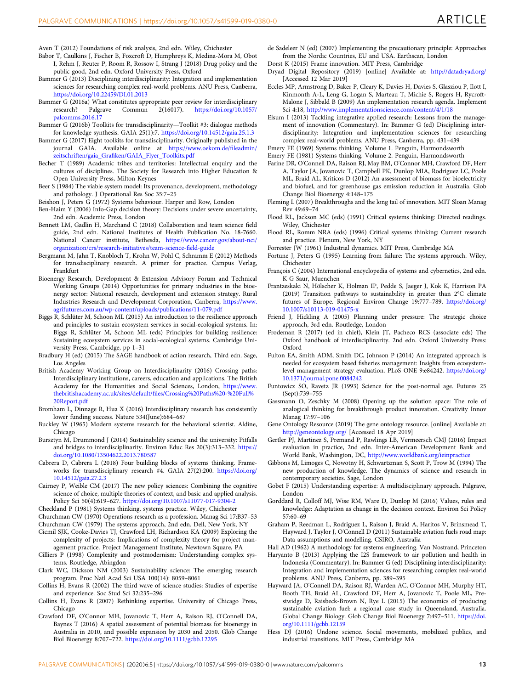- <span id="page-13-0"></span>Aven T (2012) Foundations of risk analysis, 2nd edn. Wiley, Chichester
- Babor T, Caulkins J, Fischer B, Foxcroft D, Humphreys K, Medina-Mora M, Obot I, Rehm J, Reuter P, Room R, Rossow I, Strang J (2018) Drug policy and the public good, 2nd edn. Oxford University Press, Oxford
- Bammer G (2013) Disciplining interdisciplinarity: Integration and implementation sciences for researching complex real-world problems. ANU Press, Canberra, <https://doi.org/10.22459/DI.01.2013>
- Bammer G (2016a) What constitutes appropriate peer review for interdisciplinary<br>research? Palgrave Commun 2(16017). https://doi.org/10.1057/ [https://doi.org/10.1057/](https://doi.org/10.1057/palcomms.2016.17) [palcomms.2016.17](https://doi.org/10.1057/palcomms.2016.17)
- Bammer G (2016b) Toolkits for transdisciplinarity—Toolkit #3: dialogue methods for knowledge synthesis. GAIA 25(1):7. <https://doi.org/10.14512/gaia.25.1.3>
- Bammer G (2017) Eight toolkits for transdisciplinarity. Originally published in the journal GAIA. Available online at [https://www.oekom.de/](https://www.oekom.de/fileadmin/zeitschriften/gaia_Grafiken/GAIA_Flyer_Toolkits.pdf)fileadmin/ zeitschriften/gaia\_Grafi[ken/GAIA\\_Flyer\\_Toolkits.pdf](https://www.oekom.de/fileadmin/zeitschriften/gaia_Grafiken/GAIA_Flyer_Toolkits.pdf)
- Becher T (1989) Academic tribes and territories: Intellectual enquiry and the cultures of disciplines. The Society for Research into Higher Education & Open University Press, Milton Keynes
- Beer S (1984) The viable system model: Its provenance, development, methodology and pathology. J Operational Res Soc 35:7–25
- Beishon J, Peters G (1972) Systems behaviour. Harper and Row, London
- Ben-Haim Y (2006) Info-Gap decision theory: Decisions under severe uncertainty, 2nd edn. Academic Press, London Bennett LM, Gadlin H, Marchand C (2018) Collaboration and team science field
- guide, 2nd edn. National Institutes of Health Publication No. 18-7660. National Cancer institute, Bethesda, [https://www.cancer.gov/about-nci/](https://www.cancer.gov/about-nci/organization/crs/research-initiatives/team-science-field-guide) [organization/crs/research-initiatives/team-science-](https://www.cancer.gov/about-nci/organization/crs/research-initiatives/team-science-field-guide)field-guide
- Bergmann M, Jahn T, Knobloch T, Krohn W, Pohl C, Schramm E (2012) Methods for transdisciplinary research. A primer for practice. Campus Verlag, Frankfurt
- Bioenergy Research, Development & Extension Advisory Forum and Technical Working Groups (2014) Opportunities for primary industries in the bioenergy sector: National research, development and extension strategy. Rural Industries Research and Development Corporation, Canberra, [https://www.](https://www.agrifutures.com.au/wp-content/uploads/publications/11-079.pdf) [agrifutures.com.au/wp-content/uploads/publications/11-079.pdf](https://www.agrifutures.com.au/wp-content/uploads/publications/11-079.pdf)
- Biggs R, Schlüter M, Schoon ML (2015) An introduction to the resilience approach and principles to sustain ecosystem services in social-ecological systems. In: Biggs R, Schlüter M, Schoon ML (eds) Principles for building resilience: Sustaining ecosystem services in social-ecological systems. Cambridge University Press, Cambridge, pp 1–31
- Bradbury H (ed) (2015) The SAGE handbook of action research, Third edn. Sage, Los Angeles
- British Academy Working Group on Interdisciplinarity (2016) Crossing paths: Interdisciplinary institutions, careers, education and applications. The British Academy for the Humanities and Social Sciences, London, [https://www.](https://www.thebritishacademy.ac.uk/sites/default/files/Crossing%20Paths%20-%20Full%20Report.pdf) [thebritishacademy.ac.uk/sites/default/](https://www.thebritishacademy.ac.uk/sites/default/files/Crossing%20Paths%20-%20Full%20Report.pdf)files/Crossing%20Paths%20-%20Full% [20Report.pdf](https://www.thebritishacademy.ac.uk/sites/default/files/Crossing%20Paths%20-%20Full%20Report.pdf)
- Bromham L, Dinnage R, Hua X (2016) Interdisciplinary research has consistently lower funding success. Nature 534(June):684–687
- Buckley W (1965) Modern systems research for the behavioral scientist. Aldine, Chicago
- Bursztyn M, Drummond J (2014) Sustainability science and the university: Pitfalls and bridges to interdisciplinarity. Environ Educ Res 20(3):313–332. [https://](https://doi.org/10.1080/13504622.2013.780587) [doi.org/10.1080/13504622.2013.780587](https://doi.org/10.1080/13504622.2013.780587)
- Cabrera D, Cabrera L (2018) Four building blocks of systems thinking. Frameworks for transdisciplinary research #4. GAIA 27(2):200. [https://doi.org/](https://doi.org/10.14512/gaia.27.2.3) [10.14512/gaia.27.2.3](https://doi.org/10.14512/gaia.27.2.3)
- Cairney P, Weible CM (2017) The new policy sciences: Combining the cognitive science of choice, multiple theories of context, and basic and applied analysis. Policy Sci 50(4):619–627. <https://doi.org/10.1007/s11077-017-9304-2>
- Checkland P (1981) Systems thinking, systems practice. Wiley, Chichester

Churchman CW (1970) Operations research as a profession. Manag Sci 17:B37–53

- Churchman CW (1979) The systems approach, 2nd edn. Dell, New York, NY Cicmil SJK, Cooke-Davies TJ, Crawford LH, Richardson KA (2009) Exploring the complexity of projects: Implications of complexity theory for project man-
- agement practice. Project Management Institute, Newtown Square, PA Cilliers P (1998) Complexity and postmodernism: Understanding complex sys-
- tems. Routledge, Abingdon
- Clark WC, Dickson NM (2003) Sustainability science: The emerging research program. Proc Natl Acad Sci USA 100(14): 8059–8061
- Collins H, Evans R (2002) The third wave of science studies: Studies of expertise and experience. Soc Stud Sci 32:235–296
- Collins H, Evans R (2007) Rethinking expertise. University of Chicago Press, Chicago
- Crawford DF, O'Connor MH, Jovanovic T, Herr A, Raison RJ, O'Connell DA, Baynes T (2016) A spatial assessment of potential biomass for bioenergy in Australia in 2010, and possible expansion by 2030 and 2050. Glob Change Biol Bioenergy 8:707–722. <https://doi.org/10.1111/gcbb.12295>
- de Sadeleer N (ed) (2007) Implementing the precautionary principle: Approaches from the Nordic Countries, EU and USA. Earthscan, London
- Dorst K (2015) Frame innovation. MIT Press, Cambridge
- Dryad Digital Repository (2019) [online] Available at: <http://datadryad.org/> [Accessed 12 Mar 2019]
- Eccles MP, Armstrong D, Baker P, Cleary K, Davies H, Davies S, Glasziou P, Ilott I, Kinmonth A-L, Leng G, Logan S, Marteau T, Michie S, Rogers H, Rycroft-Malone J, Sibbald B (2009) An implementation research agenda. Implement Sci 4:18, <http://www.implementationscience.com/content/4/1/18>
- Elsum I (2013) Tackling integrative applied research: Lessons from the management of innovation (Commentary). In: Bammer G (ed) Disciplining interdisciplinarity: Integration and implementation sciences for researching complex real-world problems. ANU Press, Canberra, pp. 431–439
- Emery FE (1969) Systems thinking. Volume 1. Penguin, Harmondsworth
- Emery FE (1981) Systems thinking. Volume 2. Penguin, Harmondsworth
- Farine DR, O'Connell DA, Raison RJ, May BM, O'Connor MH, Crawford DF, Herr A, Taylor JA, Jovanovic T, Campbell PK, Dunlop MIA, Rodriguez LC, Poole ML, Braid AL, Kriticos D (2012) An assessment of biomass for bioelectricity and biofuel, and for greenhouse gas emission reduction in Australia. Glob Change Biol Bioenergy 4:148–175
- Fleming L (2007) Breakthroughs and the long tail of innovation. MIT Sloan Manag Rev 49:69–74
- Flood RL, Jackson MC (eds) (1991) Critical systems thinking: Directed readings. Wiley, Chichester
- Flood RL, Romm NRA (eds) (1996) Critical systems thinking: Current research and practice. Plenum, New York, NY
- Forrester JW (1961) Industrial dynamics. MIT Press, Cambridge MA
- Fortune J, Peters G (1995) Learning from failure: The systems approach. Wiley, Chichester
- François C (2004) International encyclopedia of systems and cybernetics, 2nd edn. K G Saur, Muenchen
- Frantzeskaki N, Hölscher K, Holman IP, Pedde S, Jaeger J, Kok K, Harrison PA (2019) Transition pathways to sustainability in greater than 2°C climate futures of Europe. Regional Environ Change 19:777–789. [https://doi.org/](https://doi.org/10.1007/s10113-019-01475-x) [10.1007/s10113-019-01475-x](https://doi.org/10.1007/s10113-019-01475-x)
- Friend J, Hickling A (2005) Planning under pressure: The strategic choice approach, 3rd edn. Routledge, London
- Frodeman R (2017) (ed in chief), Klein JT, Pacheco RCS (associate eds) The Oxford handbook of interdisciplinarity. 2nd edn. Oxford University Press: Oxford
- Fulton EA, Smith ADM, Smith DC, Johnson P (2014) An integrated approach is needed for ecosystem based fisheries management: Insights from ecosystemlevel management strategy evaluation. PLoS ONE 9:e84242. [https://doi.org/](https://doi.org/10.1371/journal.pone.0084242) [10.1371/journal.pone.0084242](https://doi.org/10.1371/journal.pone.0084242)
- Funtowicz SO, Ravetz JR (1993) Science for the post-normal age. Futures 25 (Sept):739–755
- Gassmann O, Zeschky M (2008) Opening up the solution space: The role of analogical thinking for breakthrough product innovation. Creativity Innov Manag 17:97–106
- Gene Ontology Resource (2019) The gene ontology resource. [online] Available at: <http://geneontology.org/> [Accessed 18 Apr 2019]
- Gertler PJ, Martinez S, Premand P, Rawlings LB, Vermeersch CMJ (2016) Impact evaluation in practice, 2nd edn. Inter-American Development Bank and World Bank, Washington, DC, <http://www.worldbank.org/ieinpractice>
- Gibbons M, Limoges C, Nowotny H, Schwartzman S, Scott P, Trow M (1994) The new production of knowledge. The dynamics of science and research in contemporary societies. Sage, London
- Gobet F (2015) Understanding expertise: A multidisciplinary approach. Palgrave, London
- Gorddard R, Colloff MJ, Wise RM, Ware D, Dunlop M (2016) Values, rules and knowledge: Adaptation as change in the decision context. Environ Sci Policy 57:60–69
- Graham P, Reedman L, Rodriguez L, Raison J, Braid A, Haritos V, Brinsmead T, Hayward J, Taylor J, O'Connell D (2011) Sustainable aviation fuels road map: Data assumptions and modelling. CSIRO, Australia
- Hall AD (1962) A methodology for systems engineering. Van Nostrand, Princeton Haryanto B (2013) Applying the I2S framework to air pollution and health in Indonesia (Commentary). In: Bammer G (ed) Disciplining interdisciplinarity: Integration and implementation sciences for researching complex real-world problems. ANU Press, Canberra, pp. 389–395
- Hayward JA, O'Connell DA, Raison RJ, Warden AC, O'Connor MH, Murphy HT, Booth TH, Braid AL, Crawford DF, Herr A, Jovanovic T, Poole ML, Prestwidge D, Raisbeck-Brown N, Rye L (2015) The economics of producing sustainable aviation fuel: a regional case study in Queensland, Australia. Global Change Biology. Glob Change Biol Bioenergy 7:497–511. [https://doi.](https://doi.org/10.1111/gcbb.12159) [org/10.1111/gcbb.12159](https://doi.org/10.1111/gcbb.12159)
- Hess DJ (2016) Undone science. Social movements, mobilized publics, and industrial transitions. MIT Press, Cambridge MA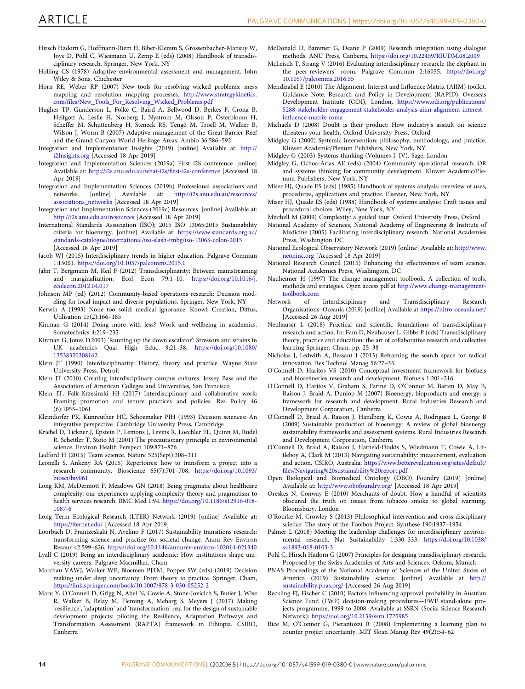- <span id="page-14-0"></span>Hirsch Hadorn G, Hoffmann-Riem H, Biber-Klemm S, Grossenbacher-Mansuy W, Joye D, Pohl C, Wiesmann U, Zemp E (eds) (2008) Handbook of transdisciplinary research. Springer, New York, NY
- Holling CS (1978) Adaptive environmental assessment and management. John Wiley & Sons, Chichester
- Horn RE, Weber RP (2007) New tools for resolving wicked problems: mess mapping and resolution mapping processes. [http://www.strategykinetics.](http://www.strategykinetics.com/files/New_Tools_For_Resolving_Wicked_Problems.pdf) com/fi[les/New\\_Tools\\_For\\_Resolving\\_Wicked\\_Problems.pdf](http://www.strategykinetics.com/files/New_Tools_For_Resolving_Wicked_Problems.pdf)
- Hughes TP, Gunderson L, Folke C, Baird A, Bellwood D, Berkes F, Crona B, Helfgott A, Leslie H, Norberg J, Nystrom M, Olsson P, Österbloom H, Scheffer M, Schuttenberg H, Steneck RS, Tengö M, Troell M, Walker B, Wilson J, Worm B (2007) Adaptive management of the Great Barrier Reef and the Grand Canyon World Heritage Areas. Ambio 36:586–592
- Integration and Implementation Insights (2019) [online] Available at: [http://](http://i2Insights.org) [i2Insights.org](http://i2Insights.org) [Accessed 18 Apr 2019]
- Integration and Implementation Sciences (2019a) First i2S conference [online] Available at: [http://i2s.anu.edu.au/what-i2s/](http://i2s.anu.edu.au/what-i2s/first-i2s-conference)first-i2s-conference [Accessed 18 Apr 2019]
- Integration and Implementation Sciences (2019b) Professional associations and networks. [online] Available at: http://i2s.anu.edu.au/resources/ [http://i2s.anu.edu.au/resources/](http://i2s.anu.edu.au/resources/associations_networks) [associations\\_networks](http://i2s.anu.edu.au/resources/associations_networks) [Accessed 18 Apr 2019]
- Integration and Implementation Sciences (2019c) Resources. [online] Available at: <http://i2s.anu.edu.au/resources> [Accessed 18 Apr 2019]
- International Standards Association (ISO); 2015 ISO 13065:2015 Sustainability criteria for bioenergy. [online] Available at: [https://www.standards.org.au/](https://www.standards.org.au/standards-catalogue/international/iso-slash-tmbg/iso-13065-colon-2015) [standards-catalogue/international/iso-slash-tmbg/iso-13065-colon-2015](https://www.standards.org.au/standards-catalogue/international/iso-slash-tmbg/iso-13065-colon-2015) [Accessed 18 Apr 2019]
- Jacob WJ (2015) Interdisciplinary trends in higher education. Palgrave Commun 1:15001. <https://doi.org/10.1057/palcomms.2015.1>
- Jahn T, Bergmann M, Keil F (2012) Transdisciplinarity: Between mainstreaming and marginalization. Ecol Econ 79:1–10. [https://doi.org/10.1016/j.](https://doi.org/10.1016/j.ecolecon.2012.04.017) [ecolecon.2012.04.017](https://doi.org/10.1016/j.ecolecon.2012.04.017)
- Johnson MP (ed) (2012) Community-based operations research: Decision modeling for local impact and diverse populations. Springer, New York, NY
- Kerwin A (1993) None too solid: medical ignorance. Knowl: Creation, Diffus, Utilisation 15(2):166–185
- Kinman G (2014) Doing more with less? Work and wellbeing in academics. Somatechnics 4:219–235
- Kinman G, Jones F(2003) 'Running up the down escalator': Stressors and strains in UK academics Qual High Educ 9:21–38. [https://doi.org/10.1080/](https://doi.org/10.1080/13538320308162) [13538320308162](https://doi.org/10.1080/13538320308162)
- Klein JT (1990) Interdisciplinarity: History, theory and practice. Wayne State University Press, Detroit
- Klein JT (2010) Creating interdisciplinary campus cultures. Jossey Bass and the Association of American Colleges and Universities, San Francisco
- Klein JT, Falk-Krzesinski HJ (2017) Interdisciplinary and collaborative work: Framing promotion and tenure practices and policies. Res Policy 46 (6):1055–1061
- Kleindorfer PR, Kunreuther HC, Schoemaker PJH (1993) Decision sciences: An integrative perspective. Cambridge University Press, Cambridge
- Kriebel D, Tickner J, Epstein P, Lemons J, Levins R, Loechler EL, Quinn M, Rudel R, Schettler T, Stoto M (2001) The precautionary principle in environmental science. Environ Health Perspect 109:871–876
- Ledford H (2015) Team science. Nature 525(Sept):308–311
- Leonelli S, Ankeny RA (2015) Repertoires: how to transform a project into a research community. Bioscience 65(7):701–708. [https://doi.org/10.1093/](https://doi.org/10.1093/biosci/biv061) [biosci/biv061](https://doi.org/10.1093/biosci/biv061)
- Long KM, McDermott F, Meadows GN (2018) Being pragmatic about healthcare complexity: our experiences applying complexity theory and pragmatism to health services research. BMC Med 1:94. [https://doi.org/10.1186/s12916-018-](https://doi.org/10.1186/s12916-018-1087-6) [1087-6](https://doi.org/10.1186/s12916-018-1087-6)
- Long Term Ecological Research (LTER) Network (2019) [online] Available at: <https://lternet.edu/> [Accessed 18 Apr 2019]
- Loorbach D, Frantzeskaki N, Avelino F (2017) Sustainability transitions research: transforming science and practice for societal change. Annu Rev Environ Resour 42:599–626. <https://doi.org/10.1146/annurev-environ-102014-021340>
- Lyall C (2019) Being an interdisciplinary academic: How institutions shape university careers. Palgrave Macmillan, Cham
- Marchau VAWJ, Walker WE, Bloemen PJTM, Popper SW (eds) (2019) Decision making under deep uncertainty: From theory to practice. Springer, Cham, <https://link.springer.com/book/10.1007/978-3-030-05252-2>
- Maru Y, O'Connell D, Grigg N, Abel N, Cowie A, Stone-Jovicich S, Butler J, Wise R, Walker B, Belay M, Fleming A, Meharg S, Meyers J (2017) Making 'resilience', 'adaptation' and 'transformation' real for the design of sustainable development projects: piloting the Resilience, Adaptation Pathways and Transformation Assessment (RAPTA) framework in Ethiopia. CSIRO, Canberra
- McDonald D, Bammer G, Deane P (2009) Research integration using dialogue methods. ANU Press, Canberra, <https://doi.org/10.22459/RIUDM.08.2009>
- McLeisch T, Strang V (2016) Evaluating interdisciplinary research: the elephant in the peer-reviewers' room. Palgrave Commun 2:16055. [https://doi.org/](https://doi.org/10.1057/palcomms.2016.55) [10.1057/palcomms.2016.55](https://doi.org/10.1057/palcomms.2016.55)
- Mendizabal E (2010) The Alignment, Interest and Influence Matrix (AIIM) toolkit. Guidance Note. Research and Policy in Development (RAPID), Overseas Development Institute (ODI), London, [https://www.odi.org/publications/](https://www.odi.org/publications/5288-stakeholder-engagement-stakeholder-analysis-aiim-alignment-interest-influence-matrix-roma) [5288-stakeholder-engagement-stakeholder-analysis-aiim-alignment-interest](https://www.odi.org/publications/5288-stakeholder-engagement-stakeholder-analysis-aiim-alignment-interest-influence-matrix-roma)infl[uence-matrix-roma](https://www.odi.org/publications/5288-stakeholder-engagement-stakeholder-analysis-aiim-alignment-interest-influence-matrix-roma)
- Michaels D (2008) Doubt is their product: How industry's assault on science threatens your health. Oxford University Press, Oxford
- Midgley G (2000) Systemic intervention: philosophy, methodology, and practice. Kluwer Academic/Plenum Publishers, New York, NY
- Midgley G (2003) Systems thinking (Volumes I–IV). Sage, London
- Midgley G, Ochoa-Arias AE (eds) (2004) Community operational research: OR and systems thinking for community development. Kluwer Academic/Plenum Publishers, New York, NY
- Miser HJ, Quade ES (eds) (1985) Handbook of systems analysis: overview of uses, procedures, applications and practice. Elsevier, New York, NY
- Miser HJ, Quade ES (eds) (1988) Handbook of systems analysis: Craft issues and procedural choices. Wiley, New York, NY
- Mitchell M (2009) Complexity: a guided tour. Oxford University Press, Oxford
- National Academy of Sciences, National Academy of Engineering & Institute of Medicine (2005) Facilitating interdisciplinary research. National Academies Press, Washington DC
- National Ecological Observatory Network (2019) [online] Available at: [http://www.](http://www.neoninc.org) [neoninc.org](http://www.neoninc.org) [Accessed 18 Apr 2019]
- National Research Council (2015) Enhancing the effectiveness of team science. National Academies Press, Washington, DC
- Nauheimer H (1997) The change management toolbook. A collection of tools, methods and strategies. Open access pdf at [http://www.change-management](http://www.change-management-toolbook.com)[toolbook.com](http://www.change-management-toolbook.com)
- Network of Interdisciplinary and Transdisciplinary Research Organisations–Oceania (2019) [online] Available at <https://nitro-oceania.net/> [Accessed 26 Aug 2019]
- Neuhauser L (2018) Practical and scientific foundations of transdisciplinary research and action. In: Fam D, Neuhauser L, Gibbs P (eds) Transdisciplinary theory, practice and education: the art of collaborative research and collective learning Springer, Cham, pp. 25–38
- Nicholas J, Ledwith A, Bessant J (2013) Reframing the search space for radical innovation. Res Technol Manag 56:27–35
- O'Connell D, Haritos VS (2010) Conceptual investment framework for biofuels and biorefineries research and development. Biofuels 1:201–216
- O'Connell D, Haritos V, Graham S, Farine D, O'Connor M, Batten D, May B, Raison J, Braid A, Dunlop M (2007) Bioenergy, bioproducts and energy: a framework for research and development. Rural Industries Research and Development Corporation, Canberra
- O'Connell D, Braid A, Raison J, Handberg K, Cowie A, Rodriguez L, George B (2009) Sustainable production of bioenergy: A review of global bioenergy sustainability frameworks and assessment systems. Rural Industries Research and Development Corporation, Canberra
- O'Connell D, Braid A, Raison J, Hatfield-Dodds S, Wiedmann T, Cowie A, Littleboy A, Clark M (2013) Navigating sustainability: measurement, evaluation and action. CSIRO, Australia, [https://www.betterevaluation.org/sites/default/](https://www.betterevaluation.org/sites/default/files/Navigating%20sustainability%20report.pdf) fi[les/Navigating%20sustainability%20report.pdf](https://www.betterevaluation.org/sites/default/files/Navigating%20sustainability%20report.pdf)
- Open Biological and Biomedical Ontology (OBO) Foundry (2019) [online] Available at: <http://www.obofoundry.org/> [Accessed 18 Apr 2019]
- Oreskes N, Conway E (2010) Merchants of doubt. How a handful of scientists obscured the truth on issues from tobacco smoke to global warming. Bloomsbury, London
- O'Rourke M, Crowley S (2013) Philosophical intervention and cross-disciplinary science: The story of the Toolbox Project. Synthese 190:1937–1954
- Palmer L (2018) Meeting the leadership challenges for interdisciplinary environmental research. Nat Sustainability 1:330–333. [https://doi.org/10.1038/](https://doi.org/10.1038/s41893-018-0103-3) [s41893-018-0103-3](https://doi.org/10.1038/s41893-018-0103-3)
- Pohl C, Hirsch Hadorn G (2007) Principles for designing transdisciplinary research. Proposed by the Swiss Academies of Arts and Sciences. Oekom, Munich
- PNAS Proceedings of the National Academy of Sciences of the United States of America (2019) Sustainability science. [online] Available at [http://](http://sustainability.pnas.org/) [sustainability.pnas.org/](http://sustainability.pnas.org/) [Accessed 26 Aug 2019]
- Reckling FJ, Fischer C (2010) Factors influencing approval probability in Austrian Science Fund (FWF) decision-making procedures—FWF stand-alone projects programme, 1999 to 2008. Available at SSRN (Social Science Research Network): <https://doi.org/10.2139/ssrn.1725985>
- Rice M, O'Connor G, Pierantozzi R (2008) Implementing a learning plan to counter project uncertainty. MIT Sloan Manag Rev 49(2):54–62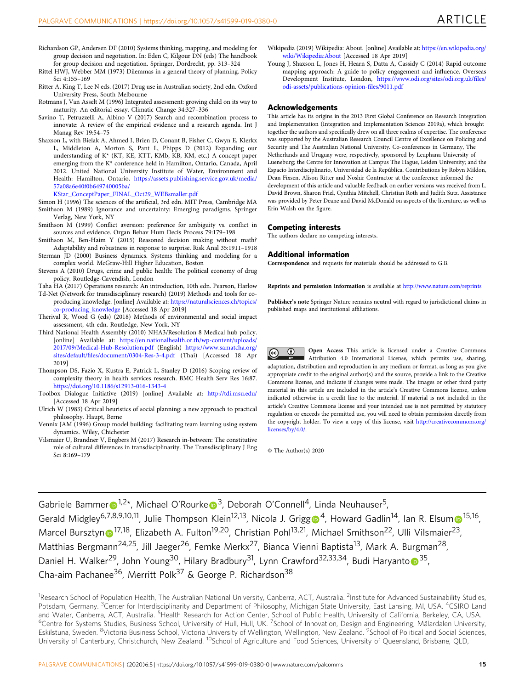- <span id="page-15-0"></span>Richardson GP, Andersen DF (2010) Systems thinking, mapping, and modeling for group decision and negotiation. In: Eden C, Kilgour DN (eds) The handbook for group decision and negotiation. Springer, Dordrecht, pp. 313–324
- Rittel HWJ, Webber MM (1973) Dilemmas in a general theory of planning. Policy Sci 4:155–169
- Ritter A, King T, Lee N eds. (2017) Drug use in Australian society, 2nd edn. Oxford University Press, South Melbourne
- Rotmans J, Van Asselt M (1996) Integrated assessment: growing child on its way to maturity. An editorial essay. Climatic Change 34:327–336
- Savino T, Petruzzelli A, Albino V (2017) Search and recombination process to innovate: A review of the empirical evidence and a research agenda. Int J Manag Rev 19:54–75
- Shaxson L, with Bielak A, Ahmed I, Brien D, Conant B, Fisher C, Gwyn E, Klerkx L, Middleton A, Morton S, Pant L, Phipps D (2012) Expanding our understanding of K\* (KT, KE, KTT, KMb, KB, KM, etc.) A concept paper emerging from the K\* conference held in Hamilton, Ontario, Canada, April 2012. United National University Institute of Water, Environment and Health: Hamilton, Ontario. [https://assets.publishing.service.gov.uk/media/](https://assets.publishing.service.gov.uk/media/57a08a6e40f0b649740005ba/KStar_ConceptPaper_FINAL_Oct29_WEBsmaller.pdf) [57a08a6e40f0b649740005ba/](https://assets.publishing.service.gov.uk/media/57a08a6e40f0b649740005ba/KStar_ConceptPaper_FINAL_Oct29_WEBsmaller.pdf)

[KStar\\_ConceptPaper\\_FINAL\\_Oct29\\_WEBsmaller.pdf](https://assets.publishing.service.gov.uk/media/57a08a6e40f0b649740005ba/KStar_ConceptPaper_FINAL_Oct29_WEBsmaller.pdf)

- Simon H (1996) The sciences of the artificial, 3rd edn. MIT Press, Cambridge MA Smithson M (1989) Ignorance and uncertainty: Emerging paradigms. Springer Verlag, New York, NY
- Smithson M (1999) Conflict aversion: preference for ambiguity vs. conflict in sources and evidence. Organ Behav Hum Decis Process 79:179–198
- Smithson M, Ben-Haim Y (2015) Reasoned decision making without math? Adaptability and robustness in response to surprise. Risk Anal 35:1911–1918
- Sterman JD (2000) Business dynamics. Systems thinking and modeling for a complex world. McGraw-Hill Higher Education, Boston
- Stevens A (2010) Drugs, crime and public health: The political economy of drug policy. Routledge-Cavendish, London
- Taha HA (2017) Operations research: An introduction, 10th edn. Pearson, Harlow Td-Net (Network for transdisciplinary research) (2019) Methods and tools for coproducing knowledge. [online] Available at: [https://naturalsciences.ch/topics/](https://naturalsciences.ch/topics/co-producing_knowledge)
- [co-producing\\_knowledge](https://naturalsciences.ch/topics/co-producing_knowledge) [Accessed 18 Apr 2019] Therival R, Wood G (eds) (2018) Methods of environmental and social impact
- assessment, 4th edn. Routledge, New York, NY Third National Health Assembly (2010) NHA3/Resolution 8 Medical hub policy. [online] Available at: [https://en.nationalhealth.or.th/wp-content/uploads/](https://en.nationalhealth.or.th/wp-content/uploads/2017/09/Medical-Hub-Resolution.pdf)
- [2017/09/Medical-Hub-Resolution.pdf](https://en.nationalhealth.or.th/wp-content/uploads/2017/09/Medical-Hub-Resolution.pdf) (English) [https://www.samatcha.org/](https://www.samatcha.org/sites/default/files/document/0304-Res-3-4.pdf) sites/default/fi[les/document/0304-Res-3-4.pdf](https://www.samatcha.org/sites/default/files/document/0304-Res-3-4.pdf) (Thai) [Accessed 18 Apr 2019]
- Thompson DS, Fazio X, Kustra E, Patrick L, Stanley D (2016) Scoping review of complexity theory in health services research. BMC Health Serv Res 16:87. <https://doi.org/10.1186/s12913-016-1343-4>
- Toolbox Dialogue Initiative (2019) [online] Available at: <http://tdi.msu.edu/> [Accessed 18 Apr 2019]
- Ulrich W (1983) Critical heuristics of social planning: a new approach to practical philosophy. Haupt, Berne
- Vennix JAM (1996) Group model building: facilitating team learning using system dynamics. Wiley, Chichester
- Vilsmaier U, Brandner V, Engbers M (2017) Research in-between: The constitutive role of cultural differences in transdisciplinarity. The Transdisciplinary J Eng Sci 8:169–179
- Wikipedia (2019) Wikipedia: About. [online] Available at: [https://en.wikipedia.org/](https://en.wikipedia.org/wiki/Wikipedia:About) [wiki/Wikipedia:About](https://en.wikipedia.org/wiki/Wikipedia:About) [Accessed 18 Apr 2019]
- Young J, Shaxson L, Jones H, Hearn S, Datta A, Cassidy C (2014) Rapid outcome mapping approach: A guide to policy engagement and influence. Overseas Development Institute, London, [https://www.odi.org/sites/odi.org.uk/](https://www.odi.org/sites/odi.org.uk/files/odi-assets/publications-opinion-files/9011.pdf)files/ [odi-assets/publications-opinion-](https://www.odi.org/sites/odi.org.uk/files/odi-assets/publications-opinion-files/9011.pdf)files/9011.pdf

#### Acknowledgements

This article has its origins in the 2013 First Global Conference on Research Integration and Implementation (Integration and Implementation Sciences 2019a), which brought together the authors and specifically drew on all three realms of expertise. The conference was supported by the Australian Research Council Centre of Excellence on Policing and Security and The Australian National University. Co-conferences in Germany, The Netherlands and Uruguay were, respectively, sponsored by Leuphana University of Lueneburg; the Centre for Innovation at Campus The Hague, Leiden University; and the Espacio Interdisciplinario, Universidad de la República. Contributions by Robyn Mildon, Dean Fixsen, Alison Ritter and Noshir Contractor at the conference informed the development of this article and valuable feedback on earlier versions was received from L. David Brown, Sharon Friel, Cynthia Mitchell, Christian Roth and Judith Sutz. Assistance was provided by Peter Deane and David McDonald on aspects of the literature, as well as Erin Walsh on the figure.

#### Competing interests

The authors declare no competing interests.

#### Additional information

Correspondence and requests for materials should be addressed to G.B.

Reprints and permission information is available at <http://www.nature.com/reprints>

Publisher's note Springer Nature remains neutral with regard to jurisdictional claims in published maps and institutional affiliations.

 $\bigcirc$ Open Access This article is licensed under a Creative Commons  $\left(\mathrm{c}\right)$ Attribution 4.0 International License, which permits use, sharing, adaptation, distribution and reproduction in any medium or format, as long as you give appropriate credit to the original author(s) and the source, provide a link to the Creative Commons license, and indicate if changes were made. The images or other third party material in this article are included in the article's Creative Commons license, unless indicated otherwise in a credit line to the material. If material is not included in the article's Creative Commons license and your intended use is not permitted by statutory regulation or exceeds the permitted use, you will need to obtain permission directly from the copyright holder. To view a copy of this license, visit [http://creativecommons.org/](http://creativecommons.org/licenses/by/4.0/) [licenses/by/4.0/](http://creativecommons.org/licenses/by/4.0/).

© The Author(s) 2020

Gab[r](http://orcid.org/0000-0001-9098-0951)i[e](http://orcid.org/0000-0002-4629-0811)le Bammer  $\mathbf{D}^{1,2*}$ , Michael O'Rourke  $\mathbf{D}^{3}$ , Deborah O'Connell<sup>4</sup>, Linda Neuhauser<sup>5</sup>, Gerald Mid[g](http://orcid.org/0000-0002-7601-3866)ley<sup>6,7,8,9,10,11</sup>, Julie Tho[m](http://orcid.org/0000-0002-0954-4800)pson Klein<sup>[1](http://orcid.org/0000-0002-0954-4800)2,13</sup>, Nicola J. Grigg <sup>4</sup>, Howard Gadlin<sup>14</sup>, Ian R. Elsum <sup>15,16</sup>, Marcel Burszty[n](http://orcid.org/0000-0002-2680-9145) <sup>[1](http://orcid.org/0000-0002-2680-9145)7,18</sup>, Elizabeth A. Fulton<sup>19,20</sup>, Christian Pohl<sup>13,21</sup>, Michael Smithson<sup>22</sup>, Ulli Vilsmaier<sup>23</sup>, Matthias Bergmann<sup>24,25</sup>, Jill Jaeger<sup>26</sup>, Femke Merkx<sup>27</sup>, Bianca Vienni Baptista<sup>13</sup>, Mark A. Burgman<sup>28</sup>, Daniel H. Walker<sup>29</sup>, J[o](http://orcid.org/0000-0001-5208-5980)hn Young<sup>30</sup>, Hilary Bradbury<sup>31</sup>, Lynn Crawford<sup>32,33,34</sup>, Budi Haryanto <sup>35</sup>, Cha-aim Pachanee<sup>36</sup>, Merritt Polk<sup>37</sup> & George P. Richardson<sup>38</sup>

<sup>1</sup>Research School of Population Health, The Australian National University, Canberra, ACT, Australia. <sup>2</sup>Institute for Advanced Sustainability Studies, Potsdam, Germany. <sup>3</sup>Center for Interdisciplinarity and Department of Philosophy, Michigan State University, East Lansing, MI, USA. <sup>4</sup>CSIRO Land and Water, Canberra, ACT, Australia. <sup>5</sup> Health Research for Action Center, School of Public Health, University of California, Berkeley, CA, USA.<br><sup>6</sup> Contra for Systems Studies, Business School University of Hull Hull HK. Centre for Systems Studies, Business School, University of Hull, Hull, UK. 7School of Innovation, Design and Engineering, Mälardalen University, Eskilstuna, Sweden. <sup>8</sup>Victoria Business School, Victoria University of Wellington, Wellington, New Zealand. <sup>9</sup>School of Political and Social Sciences, University of Canterbury, Christchurch, New Zealand. <sup>10</sup>School of Agriculture and Food Sciences, University of Queensland, Brisbane, QLD,